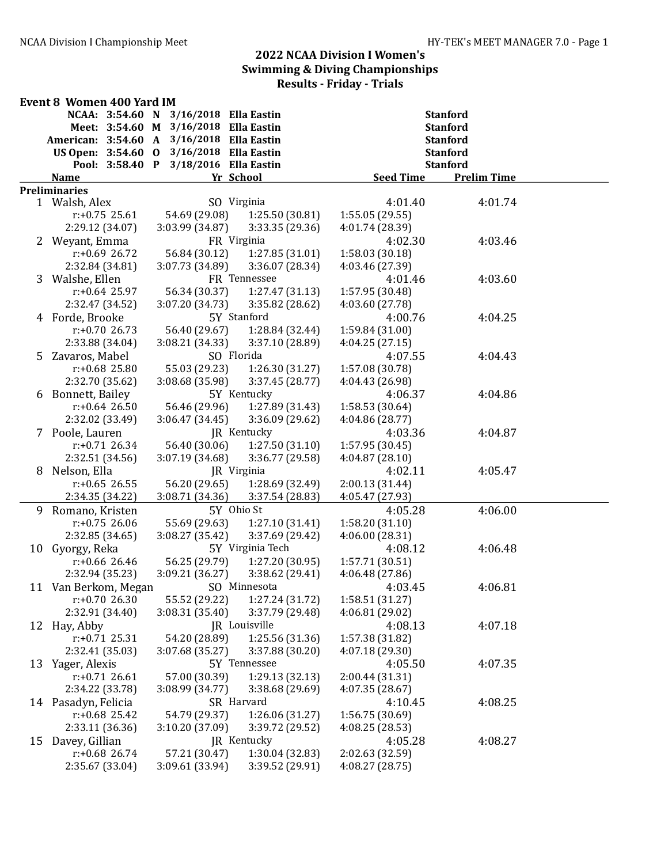|    | <b>Event 8 Women 400 Yard IM</b>          |                                       |                                    |                            |                    |  |  |
|----|-------------------------------------------|---------------------------------------|------------------------------------|----------------------------|--------------------|--|--|
|    | NCAA: 3:54.60 N                           | 3/16/2018 Ella Eastin                 |                                    |                            | <b>Stanford</b>    |  |  |
|    |                                           | Meet: 3:54.60 M 3/16/2018 Ella Eastin |                                    |                            | <b>Stanford</b>    |  |  |
|    | American: 3:54.60 A 3/16/2018 Ella Eastin |                                       |                                    |                            | <b>Stanford</b>    |  |  |
|    | US Open: 3:54.60 0                        | 3/16/2018 Ella Eastin                 |                                    |                            | <b>Stanford</b>    |  |  |
|    | Pool: 3:58.40 P                           | 3/18/2016 Ella Eastin                 |                                    |                            | <b>Stanford</b>    |  |  |
|    | <b>Name</b>                               |                                       | Yr School                          | <b>Seed Time</b>           | <b>Prelim Time</b> |  |  |
|    | <b>Preliminaries</b>                      |                                       |                                    |                            |                    |  |  |
|    | 1 Walsh, Alex                             |                                       | SO Virginia                        | 4:01.40                    | 4:01.74            |  |  |
|    | $r: +0.75$ 25.61                          | 54.69 (29.08)                         | 1:25.50 (30.81)                    | 1:55.05(29.55)             |                    |  |  |
|    | 2:29.12 (34.07)                           | 3:03.99 (34.87)                       | 3:33.35 (29.36)                    | 4:01.74 (28.39)            |                    |  |  |
|    | 2 Weyant, Emma                            |                                       | FR Virginia                        | 4:02.30                    | 4:03.46            |  |  |
|    | $r: +0.69$ 26.72                          | 56.84 (30.12)                         | 1:27.85(31.01)                     | 1:58.03 (30.18)            |                    |  |  |
|    | 2:32.84 (34.81)                           | 3:07.73 (34.89)                       | 3:36.07 (28.34)                    | 4:03.46 (27.39)            |                    |  |  |
|    | 3 Walshe, Ellen                           |                                       | FR Tennessee                       | 4:01.46                    | 4:03.60            |  |  |
|    | $r: +0.64$ 25.97                          | 56.34 (30.37)                         | 1:27.47 (31.13)                    | 1:57.95 (30.48)            |                    |  |  |
|    | 2:32.47 (34.52)                           | 3:07.20 (34.73)                       | 3:35.82 (28.62)<br>5Y Stanford     | 4:03.60 (27.78)<br>4:00.76 |                    |  |  |
|    | 4 Forde, Brooke                           |                                       |                                    |                            | 4:04.25            |  |  |
|    | $r: +0.7026.73$                           | 56.40 (29.67)<br>3:08.21 (34.33)      | 1:28.84 (32.44)<br>3:37.10 (28.89) | 1:59.84 (31.00)            |                    |  |  |
| 5  | 2:33.88 (34.04)<br>Zavaros, Mabel         |                                       | SO Florida                         | 4:04.25(27.15)<br>4:07.55  | 4:04.43            |  |  |
|    | $r: +0.68$ 25.80                          | 55.03 (29.23)                         | 1:26.30(31.27)                     | 1:57.08 (30.78)            |                    |  |  |
|    | 2:32.70 (35.62)                           | 3:08.68 (35.98)                       | 3:37.45 (28.77)                    | 4:04.43 (26.98)            |                    |  |  |
|    | 6 Bonnett, Bailey                         |                                       | 5Y Kentucky                        | 4:06.37                    | 4:04.86            |  |  |
|    | $r: +0.64$ 26.50                          | 56.46 (29.96)                         | 1:27.89 (31.43)                    | 1:58.53 (30.64)            |                    |  |  |
|    | 2:32.02 (33.49)                           | 3:06.47(34.45)                        | 3:36.09 (29.62)                    | 4:04.86 (28.77)            |                    |  |  |
|    | 7 Poole, Lauren                           |                                       | JR Kentucky                        | 4:03.36                    | 4:04.87            |  |  |
|    | $r: +0.71$ 26.34                          | 56.40 (30.06)                         | 1:27.50(31.10)                     | 1:57.95 (30.45)            |                    |  |  |
|    | 2:32.51 (34.56)                           | 3:07.19 (34.68)                       | 3:36.77 (29.58)                    | 4:04.87(28.10)             |                    |  |  |
| 8  | Nelson, Ella                              |                                       | JR Virginia                        | 4:02.11                    | 4:05.47            |  |  |
|    | $r: +0.65$ 26.55                          | 56.20 (29.65)                         | 1:28.69 (32.49)                    | 2:00.13 (31.44)            |                    |  |  |
|    | 2:34.35 (34.22)                           | 3:08.71 (34.36)                       | 3:37.54 (28.83)                    | 4:05.47 (27.93)            |                    |  |  |
| 9. | Romano, Kristen                           |                                       | 5Y Ohio St                         | 4:05.28                    | 4:06.00            |  |  |
|    | $r: +0.75$ 26.06                          | 55.69 (29.63)                         | 1:27.10 (31.41)                    | 1:58.20 (31.10)            |                    |  |  |
|    | 2:32.85 (34.65)                           | 3:08.27 (35.42)                       | 3:37.69 (29.42)                    | 4:06.00(28.31)             |                    |  |  |
|    | 10 Gyorgy, Reka                           |                                       | 5Y Virginia Tech                   | 4:08.12                    | 4:06.48            |  |  |
|    | $r: +0.66$ 26.46                          | 56.25 (29.79)                         | 1:27.20 (30.95)                    | 1:57.71 (30.51)            |                    |  |  |
|    | 2:32.94 (35.23)                           | 3:09.21(36.27)                        | 3:38.62 (29.41)                    | 4:06.48(27.86)             |                    |  |  |
|    | 11 Van Berkom, Megan SO Minnesota         |                                       |                                    | 4:03.45                    | 4:06.81            |  |  |
|    | $r: +0.7026.30$                           | 55.52 (29.22)                         | 1:27.24(31.72)                     | 1:58.51 (31.27)            |                    |  |  |
|    | 2:32.91 (34.40)                           | 3:08.31 (35.40)                       | 3:37.79 (29.48)                    | 4:06.81 (29.02)            |                    |  |  |
| 12 | Hay, Abby                                 |                                       | JR Louisville                      | 4:08.13                    | 4:07.18            |  |  |
|    | $r: +0.71$ 25.31                          | 54.20 (28.89)                         | 1:25.56 (31.36)                    | 1:57.38 (31.82)            |                    |  |  |
|    | 2:32.41 (35.03)                           | 3:07.68 (35.27)                       | 3:37.88 (30.20)                    | 4:07.18 (29.30)            |                    |  |  |
| 13 | Yager, Alexis                             |                                       | 5Y Tennessee                       | 4:05.50                    | 4:07.35            |  |  |
|    | $r: +0.71$ 26.61                          | 57.00 (30.39)                         | 1:29.13 (32.13)                    | 2:00.44 (31.31)            |                    |  |  |
|    | 2:34.22 (33.78)                           | 3:08.99 (34.77)                       | 3:38.68 (29.69)                    | 4:07.35(28.67)             |                    |  |  |
|    | 14 Pasadyn, Felicia                       |                                       | SR Harvard                         | 4:10.45                    | 4:08.25            |  |  |
|    | $r: +0.68$ 25.42                          | 54.79 (29.37)                         | 1:26.06 (31.27)                    | 1:56.75 (30.69)            |                    |  |  |
|    | 2:33.11 (36.36)                           | 3:10.20 (37.09)                       | 3:39.72 (29.52)                    | 4:08.25 (28.53)            |                    |  |  |
| 15 | Davey, Gillian                            |                                       | JR Kentucky                        | 4:05.28                    | 4:08.27            |  |  |
|    | $r: +0.68$ 26.74                          | 57.21 (30.47)                         | 1:30.04 (32.83)                    | 2:02.63 (32.59)            |                    |  |  |
|    | 2:35.67 (33.04)                           | 3:09.61 (33.94)                       | 3:39.52 (29.91)                    | 4:08.27 (28.75)            |                    |  |  |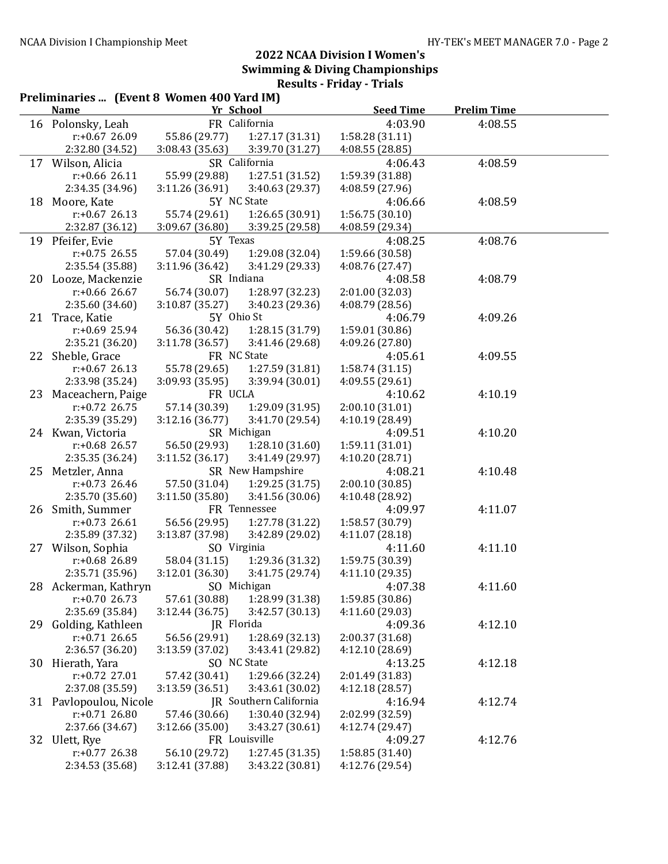|    | Preliminaries  (Event 8 Women 400 Yard IM)<br><b>Name</b> | Yr School       |                        | <b>Seed Time</b> | <b>Prelim Time</b> |  |
|----|-----------------------------------------------------------|-----------------|------------------------|------------------|--------------------|--|
|    | 16 Polonsky, Leah                                         |                 | FR California          | 4:03.90          | 4:08.55            |  |
|    | $r: +0.67$ 26.09                                          | 55.86 (29.77)   | 1:27.17(31.31)         | 1:58.28 (31.11)  |                    |  |
|    | 2:32.80 (34.52)                                           | 3:08.43(35.63)  | 3:39.70 (31.27)        | 4:08.55 (28.85)  |                    |  |
| 17 | Wilson, Alicia                                            |                 | SR California          | 4:06.43          | 4:08.59            |  |
|    | $r: +0.66$ 26.11                                          | 55.99 (29.88)   | 1:27.51 (31.52)        | 1:59.39 (31.88)  |                    |  |
|    | 2:34.35 (34.96)                                           | 3:11.26 (36.91) | 3:40.63 (29.37)        | 4:08.59 (27.96)  |                    |  |
| 18 | Moore, Kate                                               |                 | 5Y NC State            | 4:06.66          | 4:08.59            |  |
|    | $r: +0.67$ 26.13                                          | 55.74 (29.61)   | 1:26.65(30.91)         | 1:56.75(30.10)   |                    |  |
|    | 2:32.87 (36.12)                                           | 3:09.67 (36.80) | 3:39.25 (29.58)        | 4:08.59 (29.34)  |                    |  |
|    | 19 Pfeifer, Evie                                          | 5Y Texas        |                        | 4:08.25          | 4:08.76            |  |
|    | $r: +0.75$ 26.55                                          | 57.04 (30.49)   | 1:29.08 (32.04)        | 1:59.66 (30.58)  |                    |  |
|    | 2:35.54 (35.88)                                           | 3:11.96(36.42)  | 3:41.29 (29.33)        | 4:08.76 (27.47)  |                    |  |
|    | 20 Looze, Mackenzie                                       | SR Indiana      |                        | 4:08.58          | 4:08.79            |  |
|    | $r: +0.66$ 26.67                                          | 56.74 (30.07)   | 1:28.97 (32.23)        | 2:01.00 (32.03)  |                    |  |
|    | 2:35.60 (34.60)                                           | 3:10.87(35.27)  | 3:40.23 (29.36)        | 4:08.79 (28.56)  |                    |  |
|    | 21 Trace, Katie                                           | 5Y Ohio St      |                        | 4:06.79          | 4:09.26            |  |
|    | $r: +0.69$ 25.94                                          | 56.36 (30.42)   | 1:28.15 (31.79)        | 1:59.01 (30.86)  |                    |  |
|    | 2:35.21 (36.20)                                           | 3:11.78(36.57)  | 3:41.46 (29.68)        | 4:09.26 (27.80)  |                    |  |
| 22 | Sheble, Grace                                             |                 | FR NC State            | 4:05.61          | 4:09.55            |  |
|    | $r: +0.67$ 26.13                                          | 55.78 (29.65)   | 1:27.59 (31.81)        | 1:58.74(31.15)   |                    |  |
|    | 2:33.98 (35.24)                                           | 3:09.93 (35.95) | 3:39.94 (30.01)        | 4:09.55 (29.61)  |                    |  |
| 23 | Maceachern, Paige                                         | FR UCLA         |                        | 4:10.62          | 4:10.19            |  |
|    | $r: +0.72$ 26.75                                          | 57.14 (30.39)   | 1:29.09 (31.95)        | 2:00.10 (31.01)  |                    |  |
|    | 2:35.39 (35.29)                                           | 3:12.16(36.77)  | 3:41.70 (29.54)        | 4:10.19 (28.49)  |                    |  |
|    | 24 Kwan, Victoria                                         |                 | SR Michigan            | 4:09.51          | 4:10.20            |  |
|    | $r: +0.68$ 26.57                                          | 56.50 (29.93)   | 1:28.10(31.60)         | 1:59.11 (31.01)  |                    |  |
|    | 2:35.35 (36.24)                                           | 3:11.52(36.17)  | 3:41.49 (29.97)        | 4:10.20 (28.71)  |                    |  |
| 25 | Metzler, Anna                                             |                 | SR New Hampshire       | 4:08.21          | 4:10.48            |  |
|    | $r: +0.73$ 26.46                                          | 57.50 (31.04)   | 1:29.25(31.75)         | 2:00.10 (30.85)  |                    |  |
|    | 2:35.70 (35.60)                                           | 3:11.50 (35.80) | 3:41.56 (30.06)        | 4:10.48 (28.92)  |                    |  |
| 26 | Smith, Summer                                             |                 | FR Tennessee           | 4:09.97          | 4:11.07            |  |
|    | $r: +0.73$ 26.61                                          | 56.56 (29.95)   | 1:27.78 (31.22)        | 1:58.57 (30.79)  |                    |  |
|    | 2:35.89 (37.32)                                           | 3:13.87 (37.98) | 3:42.89 (29.02)        | 4:11.07 (28.18)  |                    |  |
|    | 27 Wilson, Sophia                                         | SO Virginia     |                        | 4:11.60          | 4:11.10            |  |
|    | $r: +0.68$ 26.89                                          | 58.04 (31.15)   | 1:29.36 (31.32)        | 1:59.75 (30.39)  |                    |  |
|    | 2:35.71 (35.96)                                           | 3:12.01 (36.30) | 3:41.75 (29.74)        | 4:11.10 (29.35)  |                    |  |
|    | 28 Ackerman, Kathryn                                      |                 | SO Michigan            | 4:07.38          | 4:11.60            |  |
|    | $r: +0.7026.73$                                           | 57.61 (30.88)   | 1:28.99 (31.38)        | 1:59.85 (30.86)  |                    |  |
|    | 2:35.69 (35.84)                                           | 3:12.44 (36.75) | 3:42.57 (30.13)        | 4:11.60 (29.03)  |                    |  |
| 29 | Golding, Kathleen                                         | JR Florida      |                        | 4:09.36          | 4:12.10            |  |
|    | $r: +0.71$ 26.65                                          | 56.56 (29.91)   | 1:28.69 (32.13)        | 2:00.37 (31.68)  |                    |  |
|    | 2:36.57 (36.20)                                           | 3:13.59 (37.02) | 3:43.41 (29.82)        | 4:12.10 (28.69)  |                    |  |
|    | 30 Hierath, Yara                                          |                 | SO NC State            | 4:13.25          | 4:12.18            |  |
|    | r:+0.72 27.01                                             | 57.42 (30.41)   | 1:29.66 (32.24)        | 2:01.49 (31.83)  |                    |  |
|    | 2:37.08 (35.59)                                           | 3:13.59 (36.51) | 3:43.61 (30.02)        | 4:12.18(28.57)   |                    |  |
|    | 31 Pavlopoulou, Nicole                                    |                 | JR Southern California | 4:16.94          | 4:12.74            |  |
|    | $r: +0.71$ 26.80                                          | 57.46 (30.66)   | 1:30.40 (32.94)        | 2:02.99 (32.59)  |                    |  |
|    | 2:37.66 (34.67)                                           | 3:12.66 (35.00) | 3:43.27 (30.61)        | 4:12.74 (29.47)  |                    |  |
|    | 32 Ulett, Rye                                             |                 | FR Louisville          | 4:09.27          | 4:12.76            |  |
|    | $r: +0.77$ 26.38                                          | 56.10 (29.72)   | 1:27.45 (31.35)        | 1:58.85 (31.40)  |                    |  |
|    | 2:34.53 (35.68)                                           | 3:12.41 (37.88) | 3:43.22 (30.81)        | 4:12.76 (29.54)  |                    |  |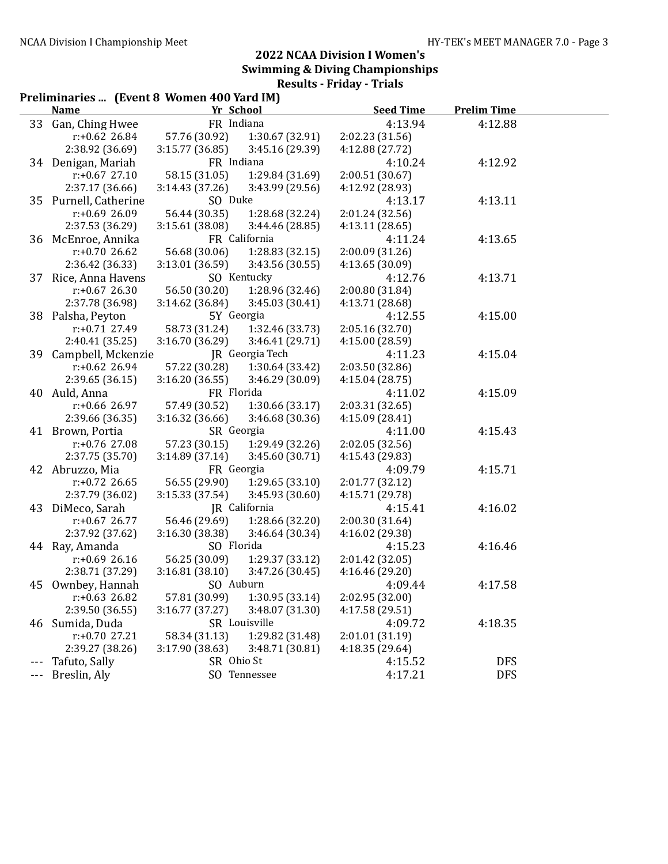#### Preliminaries ... (Event 8 Women 400 Yard IM) Name The School Seed Time Prelim Time 33 Gan, Ching Hwee FR Indiana 4:13.94 4:12.88 r:+0.62 26.84 57.76 (30.92) 1:30.67 (32.91) 2:02.23 (31.56) 2:38.92 (36.69) 3:15.77 (36.85) 3:45.16 (29.39) 4:12.88 (27.72) 34 Denigan, Mariah FR Indiana 4:10.24 4:12.92 r:+0.67 27.10 58.15 (31.05) 1:29.84 (31.69) 2:00.51 (30.67) 2:37.17 (36.66) 3:14.43 (37.26) 3:43.99 (29.56) 4:12.92 (28.93) 35 Purnell, Catherine SO Duke 4:13.17 4:13.11 r:+0.69 26.09 56.44 (30.35) 1:28.68 (32.24) 2:01.24 (32.56) 2:37.53 (36.29) 3:15.61 (38.08) 3:44.46 (28.85) 4:13.11 (28.65) 36 McEnroe, Annika FR California 4:11.24 4:13.65<br>  $r: +0.70$  26.62 56.68 (30.06) 1:28.83 (32.15) 2:00.09 (31.26) r:+0.70 26.62 56.68 (30.06) 1:28.83 (32.15) 2:00.09 (31.26) 2:36.42 (36.33) 3:13.01 (36.59) 3:43.56 (30.55) 4:13.65 (30.09) 37 Rice, Anna Havens SO Kentucky 4:12.76 4:13.71 r:+0.67 26.30 56.50 (30.20) 1:28.96 (32.46) 2:00.80 (31.84) 2:37.78 (36.98) 3:14.62 (36.84) 3:45.03 (30.41) 4:13.71 (28.68) 38 Palsha, Peyton 5Y Georgia 4:12.55 4:15.00 r:+0.71 27.49 58.73 (31.24) 1:32.46 (33.73) 2:05.16 (32.70) 2:40.41 (35.25) 3:16.70 (36.29) 3:46.41 (29.71) 4:15.00 (28.59) 39 Campbell, Mckenzie JR Georgia Tech 4:11.23 4:15.04 r:+0.62 26.94 57.22 (30.28) 1:30.64 (33.42) 2:03.50 (32.86) 2:39.65 (36.15) 3:16.20 (36.55) 3:46.29 (30.09) 4:15.04 (28.75) 40 Auld, Anna FR Florida 4:11.02 4:15.09 r:+0.66 26.97 57.49 (30.52) 1:30.66 (33.17) 2:03.31 (32.65) 2:39.66 (36.35) 3:16.32 (36.66) 3:46.68 (30.36) 4:15.09 (28.41) 41 Brown, Portia SR Georgia 4:11.00 4:15.43 r:+0.76 27.08 57.23 (30.15) 1:29.49 (32.26) 2:02.05 (32.56) 2:37.75 (35.70) 3:14.89 (37.14) 3:45.60 (30.71) 4:15.43 (29.83) 42 Abruzzo, Mia FR Georgia 4:09.79 4:15.71 r:+0.72 26.65 56.55 (29.90) 1:29.65 (33.10) 2:01.77 (32.12) 2:37.79 (36.02) 3:15.33 (37.54) 3:45.93 (30.60) 4:15.71 (29.78) 43 DiMeco, Sarah JR California 4:15.41 4:16.02 r:+0.67 26.77 56.46 (29.69) 1:28.66 (32.20) 2:00.30 (31.64) 2:37.92 (37.62) 3:16.30 (38.38) 3:46.64 (30.34) 4:16.02 (29.38) 44 Ray, Amanda SO Florida 4:15.23 4:16.46 r:+0.69 26.16 56.25 (30.09) 1:29.37 (33.12) 2:01.42 (32.05) 2:38.71 (37.29) 3:16.81 (38.10) 3:47.26 (30.45) 4:16.46 (29.20) 45 Ownbey, Hannah SO Auburn 4:09.44 4:17.58 r:+0.63 26.82 57.81 (30.99) 1:30.95 (33.14) 2:02.95 (32.00) 2:39.50 (36.55) 3:16.77 (37.27) 3:48.07 (31.30) 4:17.58 (29.51)

46 Sumida, Duda SR Louisville 4:09.72 4:18.35

Tafuto, Sally SR Ohio St 4:15.52 DFS --- Breslin, Aly SO Tennessee 4:17.21 DFS

r:+0.70 27.21 58.34 (31.13) 1:29.82 (31.48) 2:01.01 (31.19) 2:39.27 (38.26) 3:17.90 (38.63) 3:48.71 (30.81) 4:18.35 (29.64)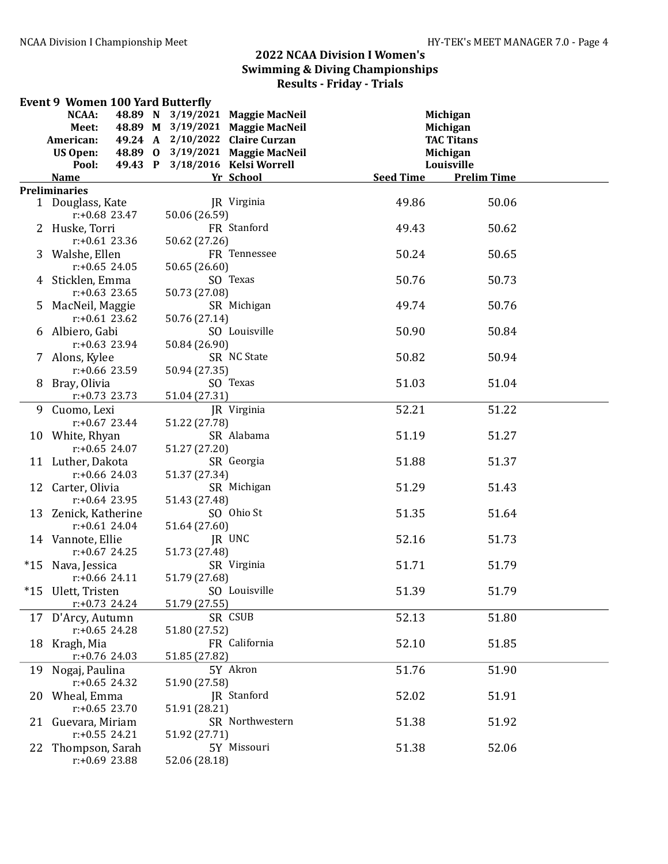|       | <b>Event 9 Women 100 Yard Butterfly</b> |                                 |                                  |                   |                    |
|-------|-----------------------------------------|---------------------------------|----------------------------------|-------------------|--------------------|
|       | NCAA:<br>48.89 N                        |                                 | 3/19/2021 Maggie MacNeil         | Michigan          |                    |
|       | Meet:                                   |                                 | 48.89 M 3/19/2021 Maggie MacNeil | Michigan          |                    |
|       | American:                               | 49.24 A 2/10/2022 Claire Curzan |                                  | <b>TAC Titans</b> |                    |
|       | <b>US Open:</b>                         |                                 | 48.89 0 3/19/2021 Maggie MacNeil | <b>Michigan</b>   |                    |
|       | Pool:                                   | 49.43 P 3/18/2016 Kelsi Worrell |                                  | Louisville        |                    |
|       | <b>Name</b>                             |                                 | Yr School                        | <b>Seed Time</b>  | <b>Prelim Time</b> |
|       | <b>Preliminaries</b>                    |                                 |                                  |                   |                    |
|       | 1 Douglass, Kate                        |                                 | JR Virginia                      | 49.86             | 50.06              |
|       | $r: +0.68$ 23.47                        | 50.06 (26.59)                   |                                  |                   |                    |
|       | 2 Huske, Torri                          |                                 | FR Stanford                      | 49.43             | 50.62              |
|       | $r: +0.61$ 23.36                        | 50.62 (27.26)                   |                                  |                   |                    |
|       | 3 Walshe, Ellen                         |                                 | FR Tennessee                     | 50.24             | 50.65              |
|       | $r: +0.65$ 24.05                        | 50.65 (26.60)                   |                                  |                   |                    |
|       | 4 Sticklen, Emma                        |                                 | SO Texas                         | 50.76             | 50.73              |
|       | $r: +0.63$ 23.65                        | 50.73 (27.08)                   |                                  |                   |                    |
|       | 5 MacNeil, Maggie                       |                                 | SR Michigan                      | 49.74             | 50.76              |
|       | $r: +0.61$ 23.62                        | 50.76 (27.14)                   |                                  |                   |                    |
|       | 6 Albiero, Gabi                         |                                 | SO Louisville                    | 50.90             | 50.84              |
|       | $r: +0.63$ 23.94                        | 50.84 (26.90)                   |                                  |                   |                    |
|       | 7 Alons, Kylee                          |                                 | SR NC State                      | 50.82             | 50.94              |
|       | $r: +0.66$ 23.59                        | 50.94 (27.35)                   |                                  |                   |                    |
|       | 8 Bray, Olivia                          |                                 | SO Texas                         | 51.03             | 51.04              |
|       | $r: +0.73$ 23.73                        | 51.04 (27.31)                   |                                  |                   |                    |
|       | 9 Cuomo, Lexi                           |                                 | JR Virginia                      | 52.21             | 51.22              |
|       | $r: +0.67$ 23.44                        | 51.22 (27.78)                   |                                  |                   |                    |
|       | 10 White, Rhyan                         |                                 | SR Alabama                       | 51.19             | 51.27              |
|       | $r: +0.65$ 24.07                        | 51.27 (27.20)                   |                                  |                   |                    |
|       | 11 Luther, Dakota                       |                                 | SR Georgia                       | 51.88             | 51.37              |
|       | $r: +0.66$ 24.03                        | 51.37 (27.34)                   |                                  |                   |                    |
|       | 12 Carter, Olivia                       |                                 | SR Michigan                      | 51.29             | 51.43              |
|       | $r: +0.64$ 23.95                        | 51.43 (27.48)                   |                                  |                   |                    |
|       | 13 Zenick, Katherine                    |                                 | SO Ohio St                       | 51.35             | 51.64              |
|       | $r: +0.61$ 24.04                        | 51.64 (27.60)                   |                                  |                   |                    |
|       | 14 Vannote, Ellie                       |                                 | JR UNC                           | 52.16             | 51.73              |
|       | $r: +0.67$ 24.25                        | 51.73 (27.48)                   |                                  |                   |                    |
| $*15$ | Nava, Jessica                           |                                 | SR Virginia                      | 51.71             | 51.79              |
|       | $r$ :+0.66 24.11                        | 51.79 (27.68)                   |                                  |                   |                    |
|       | *15 Ulett, Tristen                      |                                 | SO Louisville                    | 51.39             | 51.79              |
|       | $r: +0.73$ 24.24                        | 51.79 (27.55)                   |                                  |                   |                    |
|       | 17 D'Arcy, Autumn                       |                                 | SR CSUB                          | 52.13             | 51.80              |
|       | $r: +0.65$ 24.28                        | 51.80 (27.52)                   |                                  |                   |                    |
|       | 18 Kragh, Mia                           |                                 | FR California                    | 52.10             | 51.85              |
|       | $r: +0.76$ 24.03                        | 51.85 (27.82)                   |                                  |                   |                    |
|       | 19 Nogaj, Paulina                       |                                 | 5Y Akron                         | 51.76             | 51.90              |
|       | $r: +0.65$ 24.32                        | 51.90 (27.58)                   |                                  |                   |                    |
|       | 20 Wheal, Emma                          |                                 | JR Stanford                      | 52.02             | 51.91              |
|       | $r: +0.65$ 23.70                        | 51.91 (28.21)                   |                                  |                   |                    |
|       | 21 Guevara, Miriam                      |                                 | SR Northwestern                  | 51.38             | 51.92              |
|       | $r: +0.55$ 24.21                        | 51.92 (27.71)                   |                                  |                   |                    |
|       | 22 Thompson, Sarah                      |                                 | 5Y Missouri                      | 51.38             | 52.06              |
|       | $r: +0.69$ 23.88                        | 52.06 (28.18)                   |                                  |                   |                    |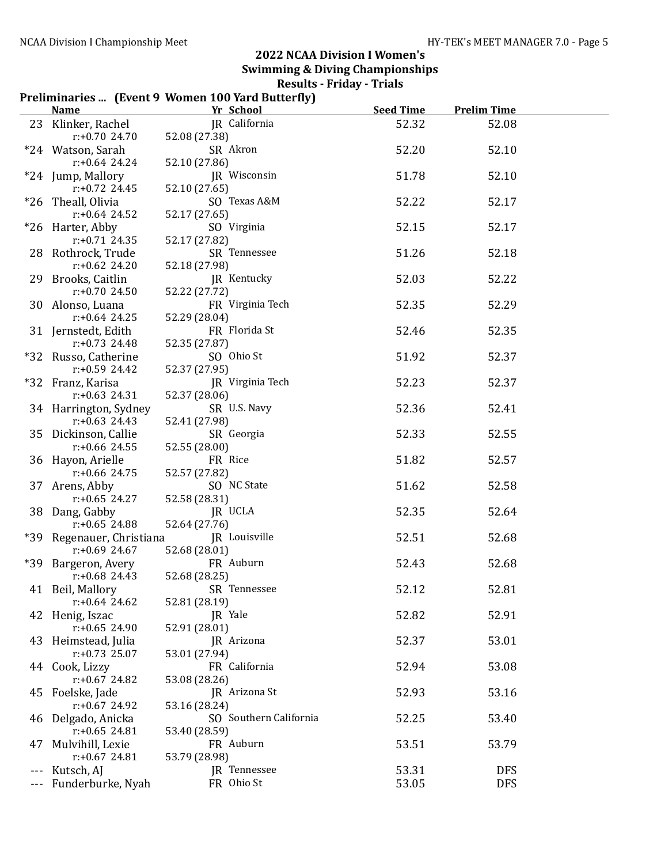#### Preliminaries ... (Event 9 Women 100 Yard Butterfly)

|    | <b>Name</b>                             | Yr School                   | <b>Seed Time</b> | <b>Prelim Time</b> |  |
|----|-----------------------------------------|-----------------------------|------------------|--------------------|--|
|    | 23 Klinker, Rachel                      | JR California               | 52.32            | 52.08              |  |
|    | $r: +0.70$ 24.70                        | 52.08 (27.38)               |                  |                    |  |
|    | *24 Watson, Sarah                       | SR Akron                    | 52.20            | 52.10              |  |
|    | $r: +0.64$ 24.24                        | 52.10 (27.86)               |                  |                    |  |
|    | *24 Jump, Mallory                       | JR Wisconsin                | 51.78            | 52.10              |  |
|    | $r: +0.72$ 24.45                        | 52.10 (27.65)               |                  |                    |  |
|    | *26 Theall, Olivia                      | SO Texas A&M                | 52.22            | 52.17              |  |
|    | $r: +0.64$ 24.52                        | 52.17 (27.65)               |                  |                    |  |
|    | *26 Harter, Abby                        | SO Virginia                 | 52.15            | 52.17              |  |
|    | $r: +0.71$ 24.35                        | 52.17 (27.82)               |                  |                    |  |
|    | 28 Rothrock, Trude                      | SR Tennessee                | 51.26            | 52.18              |  |
|    | $r: +0.62$ 24.20                        | 52.18 (27.98)               |                  |                    |  |
|    | 29 Brooks, Caitlin                      | JR Kentucky                 | 52.03            | 52.22              |  |
|    | $r: +0.70$ 24.50                        | 52.22 (27.72)               |                  |                    |  |
|    | 30 Alonso, Luana                        | FR Virginia Tech            | 52.35            | 52.29              |  |
|    | $r: +0.64$ 24.25                        | 52.29 (28.04)               |                  |                    |  |
|    | 31 Jernstedt, Edith<br>$r: +0.73$ 24.48 | FR Florida St               | 52.46            | 52.35              |  |
|    | *32 Russo, Catherine                    | 52.35 (27.87)<br>SO Ohio St | 51.92            | 52.37              |  |
|    | $r: +0.59$ 24.42                        | 52.37 (27.95)               |                  |                    |  |
|    | *32 Franz, Karisa                       | JR Virginia Tech            | 52.23            | 52.37              |  |
|    | $r: +0.63$ 24.31                        | 52.37 (28.06)               |                  |                    |  |
|    | 34 Harrington, Sydney                   | SR U.S. Navy                | 52.36            | 52.41              |  |
|    | $r: +0.63$ 24.43                        | 52.41 (27.98)               |                  |                    |  |
|    | 35 Dickinson, Callie                    | SR Georgia                  | 52.33            | 52.55              |  |
|    | $r: +0.66$ 24.55                        | 52.55 (28.00)               |                  |                    |  |
|    | 36 Hayon, Arielle                       | FR Rice                     | 51.82            | 52.57              |  |
|    | $r: +0.66$ 24.75                        | 52.57 (27.82)               |                  |                    |  |
|    | 37 Arens, Abby                          | SO NC State                 | 51.62            | 52.58              |  |
|    | $r: +0.65$ 24.27                        | 52.58 (28.31)               |                  |                    |  |
|    | 38 Dang, Gabby                          | JR UCLA                     | 52.35            | 52.64              |  |
|    | $r: +0.65$ 24.88                        | 52.64 (27.76)               |                  |                    |  |
|    | *39 Regenauer, Christiana               | JR Louisville               | 52.51            | 52.68              |  |
|    | $r: +0.69$ 24.67                        | 52.68 (28.01)               |                  |                    |  |
|    | *39 Bargeron, Avery                     | FR Auburn                   | 52.43            | 52.68              |  |
|    | $r: +0.68$ 24.43                        | 52.68 (28.25)               |                  |                    |  |
|    | 41 Beil, Mallory                        | SR Tennessee                | 52.12            | 52.81              |  |
|    | $r: +0.64$ 24.62                        | 52.81 (28.19)               |                  |                    |  |
|    | 42 Henig, Iszac                         | JR Yale<br>52.91 (28.01)    | 52.82            | 52.91              |  |
|    | $r: +0.65$ 24.90<br>43 Heimstead, Julia | JR Arizona                  | 52.37            | 53.01              |  |
|    | $r: +0.73$ 25.07                        | 53.01 (27.94)               |                  |                    |  |
|    | 44 Cook, Lizzy                          | FR California               | 52.94            | 53.08              |  |
|    | $r: +0.67$ 24.82                        | 53.08 (28.26)               |                  |                    |  |
|    | 45 Foelske, Jade                        | JR Arizona St               | 52.93            | 53.16              |  |
|    | $r: +0.67$ 24.92                        | 53.16 (28.24)               |                  |                    |  |
|    | 46 Delgado, Anicka                      | SO Southern California      | 52.25            | 53.40              |  |
|    | $r: +0.65$ 24.81                        | 53.40 (28.59)               |                  |                    |  |
| 47 | Mulvihill, Lexie                        | FR Auburn                   | 53.51            | 53.79              |  |
|    | $r: +0.67$ 24.81                        | 53.79 (28.98)               |                  |                    |  |
|    | Kutsch, AJ                              | JR Tennessee                | 53.31            | <b>DFS</b>         |  |
|    | Funderburke, Nyah                       | FR Ohio St                  | 53.05            | <b>DFS</b>         |  |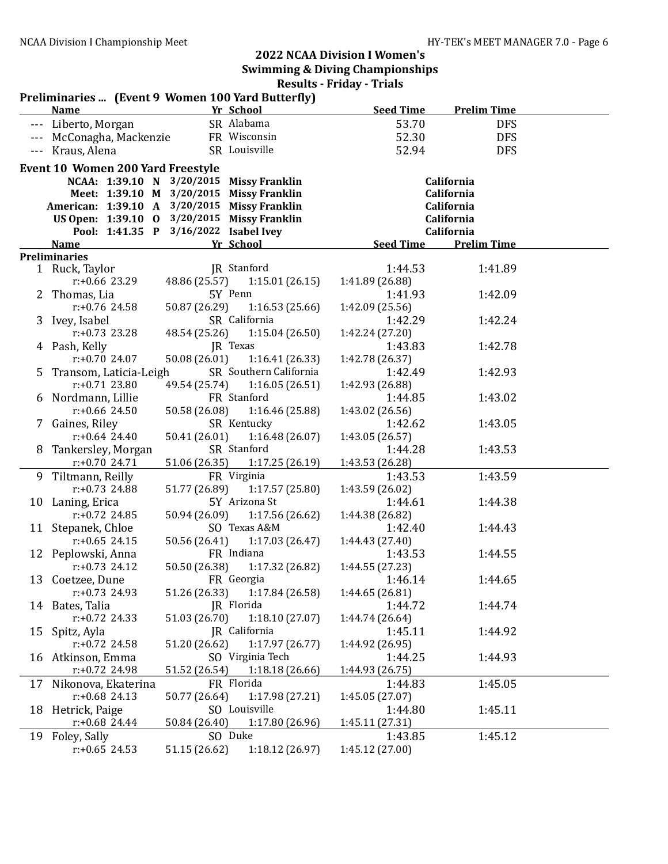|    | Preliminaries  (Event 9 Women 100 Yard Butterfly) |               |                               |                  |                    |  |
|----|---------------------------------------------------|---------------|-------------------------------|------------------|--------------------|--|
|    | <b>Name</b>                                       |               | Yr School                     | <b>Seed Time</b> | <b>Prelim Time</b> |  |
|    | --- Liberto, Morgan                               |               | SR Alabama                    | 53.70            | <b>DFS</b>         |  |
|    | --- McConagha, Mackenzie                          |               | FR Wisconsin                  | 52.30            | <b>DFS</b>         |  |
|    | --- Kraus, Alena                                  |               | SR Louisville                 | 52.94            | <b>DFS</b>         |  |
|    | <b>Event 10 Women 200 Yard Freestyle</b>          |               |                               |                  |                    |  |
|    | NCAA: 1:39.10 N 3/20/2015 Missy Franklin          |               |                               |                  | California         |  |
|    | Meet: 1:39.10 M 3/20/2015 Missy Franklin          |               |                               |                  | California         |  |
|    | American: 1:39.10 A 3/20/2015 Missy Franklin      |               |                               |                  | California         |  |
|    | US Open: 1:39.10 0 3/20/2015 Missy Franklin       |               |                               |                  | California         |  |
|    | Pool: 1:41.35 P 3/16/2022 Isabel Ivey             |               |                               |                  | California         |  |
|    | <b>Name</b>                                       |               | Yr School                     | <b>Seed Time</b> | <b>Prelim Time</b> |  |
|    | <b>Preliminaries</b>                              |               |                               |                  |                    |  |
|    | 1 Ruck, Taylor                                    |               | JR Stanford                   | 1:44.53          | 1:41.89            |  |
|    | $r: +0.66$ 23.29                                  |               | 48.86 (25.57) 1:15.01 (26.15) | 1:41.89 (26.88)  |                    |  |
|    | 2 Thomas, Lia                                     |               | 5Y Penn                       | 1:41.93          | 1:42.09            |  |
|    | $r: +0.76$ 24.58                                  | 50.87 (26.29) | 1:16.53(25.66)                | 1:42.09 (25.56)  |                    |  |
|    | 3 Ivey, Isabel                                    |               | SR California                 | 1:42.29          | 1:42.24            |  |
|    | r:+0.73 23.28                                     | 48.54 (25.26) | 1:15.04 (26.50)               | 1:42.24 (27.20)  |                    |  |
|    | 4 Pash, Kelly                                     |               | JR Texas                      | 1:43.83          | 1:42.78            |  |
|    | r:+0.70 24.07                                     | 50.08 (26.01) | 1:16.41(26.33)                | 1:42.78 (26.37)  |                    |  |
| 5. | Transom, Laticia-Leigh                            |               | SR Southern California        | 1:42.49          | 1:42.93            |  |
|    | $r: +0.71$ 23.80                                  |               | 49.54 (25.74) 1:16.05 (26.51) | 1:42.93 (26.88)  |                    |  |
|    | 6 Nordmann, Lillie                                |               | FR Stanford                   | 1:44.85          | 1:43.02            |  |
|    | $r: +0.66$ 24.50                                  | 50.58 (26.08) | 1:16.46 (25.88)               | 1:43.02 (26.56)  |                    |  |
|    | 7 Gaines, Riley                                   |               | SR Kentucky                   | 1:42.62          | 1:43.05            |  |
|    | $r: +0.64$ 24.40                                  | 50.41 (26.01) | 1:16.48(26.07)                | 1:43.05 (26.57)  |                    |  |
|    | 8 Tankersley, Morgan                              |               | SR Stanford                   | 1:44.28          | 1:43.53            |  |
|    | $r: +0.70$ 24.71                                  | 51.06 (26.35) | 1:17.25(26.19)                | 1:43.53 (26.28)  |                    |  |
|    | 9 Tiltmann, Reilly                                |               | FR Virginia                   | 1:43.53          | 1:43.59            |  |
|    | $r: +0.73$ 24.88                                  | 51.77 (26.89) | 1:17.57(25.80)                | 1:43.59 (26.02)  |                    |  |
|    | 10 Laning, Erica                                  |               | 5Y Arizona St                 | 1:44.61          | 1:44.38            |  |
|    | $r: +0.72$ 24.85                                  | 50.94 (26.09) | 1:17.56(26.62)                | 1:44.38 (26.82)  |                    |  |
|    | 11 Stepanek, Chloe                                |               | SO Texas A&M                  | 1:42.40          | 1:44.43            |  |
|    | $r: +0.65$ 24.15                                  | 50.56 (26.41) | 1:17.03(26.47)                | 1:44.43 (27.40)  |                    |  |
|    | 12 Peplowski, Anna                                |               | FR Indiana                    | 1:43.53          | 1:44.55            |  |
|    | $r: +0.73$ 24.12                                  | 50.50 (26.38) | 1:17.32(26.82)                | 1:44.55 (27.23)  |                    |  |
|    | 13 Coetzee, Dune                                  |               | FR Georgia                    | 1:46.14          | 1:44.65            |  |
|    | $r: +0.73$ 24.93                                  |               | 51.26 (26.33) 1:17.84 (26.58) | 1:44.65 (26.81)  |                    |  |
|    | 14 Bates, Talia                                   |               | JR Florida                    | 1:44.72          | 1:44.74            |  |
|    | $r: +0.72$ 24.33                                  | 51.03 (26.70) | 1:18.10(27.07)                | 1:44.74 (26.64)  |                    |  |
| 15 | Spitz, Ayla                                       |               | JR California                 | 1:45.11          | 1:44.92            |  |
|    | $r: +0.72$ 24.58                                  | 51.20 (26.62) | 1:17.97(26.77)                | 1:44.92 (26.95)  |                    |  |
|    | 16 Atkinson, Emma                                 |               | SO Virginia Tech              | 1:44.25          | 1:44.93            |  |
|    | $r: +0.72$ 24.98                                  | 51.52 (26.54) | 1:18.18 (26.66)               | 1:44.93 (26.75)  |                    |  |
| 17 | Nikonova, Ekaterina                               |               | FR Florida                    | 1:44.83          | 1:45.05            |  |
|    | $r: +0.68$ 24.13                                  | 50.77 (26.64) | 1:17.98 (27.21)               | 1:45.05 (27.07)  |                    |  |
| 18 | Hetrick, Paige                                    |               | SO Louisville                 | 1:44.80          | 1:45.11            |  |
|    | $r: +0.68$ 24.44                                  | 50.84 (26.40) | 1:17.80 (26.96)               | 1:45.11 (27.31)  |                    |  |
| 19 | Foley, Sally                                      |               | SO Duke                       | 1:43.85          | 1:45.12            |  |
|    | $r: +0.65$ 24.53                                  | 51.15 (26.62) | 1:18.12 (26.97)               | 1:45.12 (27.00)  |                    |  |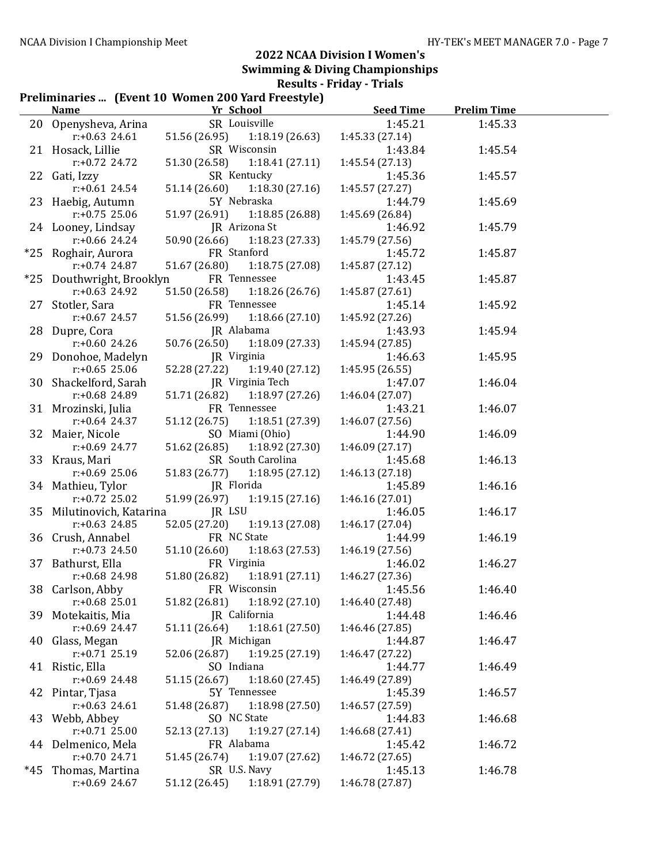#### Preliminaries ... (Event 10 Women 200 Yard Freestyle)

|       | Name                      | Yr School                        | <b>Seed Time</b> | <b>Prelim Time</b> |  |
|-------|---------------------------|----------------------------------|------------------|--------------------|--|
|       | 20 Openysheva, Arina      | SR Louisville                    | 1:45.21          | 1:45.33            |  |
|       | $r: +0.63$ 24.61          | 51.56 (26.95)<br>1:18.19(26.63)  | 1:45.33(27.14)   |                    |  |
|       | 21 Hosack, Lillie         | SR Wisconsin                     | 1:43.84          | 1:45.54            |  |
|       | $r: +0.72$ 24.72          | 51.30 (26.58)<br>1:18.41(27.11)  | 1:45.54 (27.13)  |                    |  |
|       | 22 Gati, Izzy             | SR Kentucky                      | 1:45.36          | 1:45.57            |  |
|       | $r$ :+0.61 24.54          | 51.14 (26.60)<br>1:18.30(27.16)  | 1:45.57 (27.27)  |                    |  |
|       | 23 Haebig, Autumn         | 5Y Nebraska                      | 1:44.79          | 1:45.69            |  |
|       | $r: +0.75$ 25.06          | 1:18.85 (26.88)<br>51.97 (26.91) | 1:45.69 (26.84)  |                    |  |
|       | 24 Looney, Lindsay        | JR Arizona St                    | 1:46.92          | 1:45.79            |  |
|       | $r: +0.66$ 24.24          | 50.90 (26.66)<br>1:18.23 (27.33) | 1:45.79 (27.56)  |                    |  |
|       | *25 Roghair, Aurora       | FR Stanford                      | 1:45.72          | 1:45.87            |  |
|       | $r: +0.74$ 24.87          | 51.67 (26.80)<br>1:18.75(27.08)  | 1:45.87 (27.12)  |                    |  |
| $*25$ | Douthwright, Brooklyn     | FR Tennessee                     | 1:43.45          | 1:45.87            |  |
|       | $r: +0.63$ 24.92          | 51.50 (26.58)<br>1:18.26(26.76)  | 1:45.87 (27.61)  |                    |  |
| 27    | Stotler, Sara             | FR Tennessee                     | 1:45.14          | 1:45.92            |  |
|       | $r: +0.67$ 24.57          | 51.56 (26.99)<br>1:18.66(27.10)  | 1:45.92 (27.26)  |                    |  |
|       | 28 Dupre, Cora            | JR Alabama                       | 1:43.93          | 1:45.94            |  |
|       | $r: +0.60$ 24.26          | 50.76 (26.50)<br>1:18.09(27.33)  | 1:45.94 (27.85)  |                    |  |
|       | 29 Donohoe, Madelyn       | JR Virginia                      | 1:46.63          | 1:45.95            |  |
|       | $r: +0.65$ 25.06          | 52.28 (27.22)<br>1:19.40(27.12)  | 1:45.95 (26.55)  |                    |  |
|       | 30 Shackelford, Sarah     | JR Virginia Tech                 | 1:47.07          | 1:46.04            |  |
|       | r:+0.68 24.89             | 51.71 (26.82)<br>1:18.97(27.26)  | 1:46.04 (27.07)  |                    |  |
|       | 31 Mrozinski, Julia       | FR Tennessee                     | 1:43.21          | 1:46.07            |  |
|       | $r: +0.64$ 24.37          | 51.12 (26.75)<br>1:18.51(27.39)  | 1:46.07 (27.56)  |                    |  |
|       | 32 Maier, Nicole          | SO Miami (Ohio)                  | 1:44.90          | 1:46.09            |  |
|       | $r: +0.69$ 24.77          | 51.62 (26.85)<br>1:18.92 (27.30) | 1:46.09 (27.17)  |                    |  |
|       | 33 Kraus, Mari            | SR South Carolina                | 1:45.68          | 1:46.13            |  |
|       | $r: +0.69$ 25.06          | 51.83 (26.77)<br>1:18.95(27.12)  | 1:46.13 (27.18)  |                    |  |
|       | 34 Mathieu, Tylor         | JR Florida                       | 1:45.89          | 1:46.16            |  |
|       | $r: +0.72$ 25.02          | 51.99 (26.97)<br>1:19.15(27.16)  | 1:46.16(27.01)   |                    |  |
|       | 35 Milutinovich, Katarina | JR LSU                           | 1:46.05          | 1:46.17            |  |
|       | $r: +0.63$ 24.85          | 52.05 (27.20)<br>1:19.13(27.08)  | 1:46.17 (27.04)  |                    |  |
|       | 36 Crush, Annabel         | FR NC State                      | 1:44.99          | 1:46.19            |  |
|       | $r: +0.73$ 24.50          | 1:18.63 (27.53)<br>51.10 (26.60) | 1:46.19 (27.56)  |                    |  |
|       | 37 Bathurst, Ella         | FR Virginia                      | 1:46.02          | 1:46.27            |  |
|       | r:+0.68 24.98             | 1:18.91(27.11)<br>51.80 (26.82)  | 1:46.27 (27.36)  |                    |  |
|       | 38 Carlson, Abby          | FR Wisconsin                     | 1:45.56          | 1:46.40            |  |
|       | $r: +0.68$ 25.01          | 1:18.92 (27.10)<br>51.82 (26.81) | 1:46.40 (27.48)  |                    |  |
|       | 39 Motekaitis, Mia        | JR California                    | 1:44.48          | 1:46.46            |  |
|       | $r$ :+0.69 24.47          | 1:18.61 (27.50)<br>51.11 (26.64) | 1:46.46 (27.85)  |                    |  |
| 40    | Glass, Megan              | JR Michigan                      | 1:44.87          | 1:46.47            |  |
|       | $r: +0.71$ 25.19          | 1:19.25(27.19)<br>52.06 (26.87)  | 1:46.47 (27.22)  |                    |  |
|       | 41 Ristic, Ella           | SO Indiana                       | 1:44.77          | 1:46.49            |  |
|       | $r: +0.69$ 24.48          | 1:18.60 (27.45)<br>51.15 (26.67) | 1:46.49 (27.89)  |                    |  |
| 42    | Pintar, Tjasa             | 5Y Tennessee                     | 1:45.39          | 1:46.57            |  |
|       | $r: +0.63$ 24.61          | 1:18.98 (27.50)<br>51.48 (26.87) | 1:46.57 (27.59)  |                    |  |
|       | 43 Webb, Abbey            | SO NC State                      | 1:44.83          | 1:46.68            |  |
|       | $r: +0.71$ 25.00          | 52.13 (27.13)<br>1:19.27(27.14)  | 1:46.68 (27.41)  |                    |  |
|       | 44 Delmenico, Mela        | FR Alabama                       | 1:45.42          | 1:46.72            |  |
|       | $r: +0.70$ 24.71          | 1:19.07 (27.62)<br>51.45 (26.74) | 1:46.72 (27.65)  |                    |  |
| *45   | Thomas, Martina           | SR U.S. Navy                     | 1:45.13          | 1:46.78            |  |
|       | $r: +0.69$ 24.67          | 1:18.91 (27.79)<br>51.12 (26.45) | 1:46.78 (27.87)  |                    |  |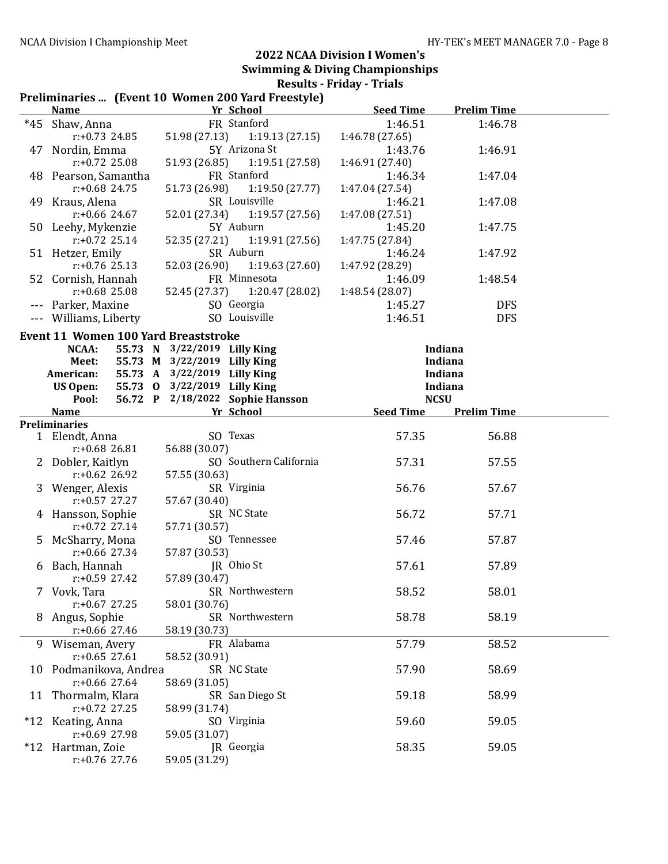#### Preliminaries ... (Event 10 Women 200 Yard Freestyle)

|       | <b>Name</b>                                 | Yr School                        | <b>Seed Time</b> | <b>Prelim Time</b> |  |
|-------|---------------------------------------------|----------------------------------|------------------|--------------------|--|
| $*45$ | Shaw, Anna                                  | FR Stanford                      | 1:46.51          | 1:46.78            |  |
|       | $r: +0.73$ 24.85                            | 51.98 (27.13)<br>1:19.13(27.15)  | 1:46.78 (27.65)  |                    |  |
| 47    | Nordin, Emma                                | 5Y Arizona St                    | 1:43.76          | 1:46.91            |  |
|       | $r: +0.72$ 25.08                            | 51.93 (26.85)<br>1:19.51(27.58)  | 1:46.91 (27.40)  |                    |  |
|       | 48 Pearson, Samantha                        | FR Stanford                      | 1:46.34          | 1:47.04            |  |
|       | $r: +0.68$ 24.75                            | 51.73 (26.98)<br>1:19.50(27.77)  | 1:47.04 (27.54)  |                    |  |
|       | 49 Kraus, Alena                             | SR Louisville                    | 1:46.21          | 1:47.08            |  |
|       | $r: +0.66$ 24.67                            | 52.01 (27.34)<br>1:19.57(27.56)  | 1:47.08 (27.51)  |                    |  |
|       | 50 Leehy, Mykenzie                          | 5Y Auburn                        | 1:45.20          | 1:47.75            |  |
|       | $r: +0.72$ 25.14                            | 52.35 (27.21)<br>1:19.91 (27.56) | 1:47.75 (27.84)  |                    |  |
|       | 51 Hetzer, Emily                            | SR Auburn                        | 1:46.24          | 1:47.92            |  |
|       | $r: +0.76$ 25.13                            | 52.03 (26.90)<br>1:19.63(27.60)  | 1:47.92 (28.29)  |                    |  |
|       | 52 Cornish, Hannah                          | FR Minnesota                     | 1:46.09          | 1:48.54            |  |
|       | $r: +0.68$ 25.08                            | 52.45 (27.37)<br>1:20.47 (28.02) | 1:48.54 (28.07)  |                    |  |
|       | Parker, Maxine                              | SO Georgia                       | 1:45.27          | <b>DFS</b>         |  |
|       | Williams, Liberty                           | SO Louisville                    | 1:46.51          | <b>DFS</b>         |  |
|       | <b>Event 11 Women 100 Yard Breaststroke</b> |                                  |                  |                    |  |
|       | NCAA:                                       | 55.73 N 3/22/2019 Lilly King     |                  | Indiana            |  |
|       | Meet:                                       | 55.73 M 3/22/2019 Lilly King     |                  | Indiana            |  |
|       | American:                                   | 55.73 A 3/22/2019 Lilly King     |                  | Indiana            |  |
|       | <b>US Open:</b>                             | 55.73 0 3/22/2019 Lilly King     |                  | Indiana            |  |
|       | Pool:                                       | 56.72 P 2/18/2022 Sophie Hansson | <b>NCSU</b>      |                    |  |
|       | <b>Name</b>                                 | Yr School                        | <b>Seed Time</b> | <b>Prelim Time</b> |  |
|       | <b>Preliminaries</b>                        |                                  |                  |                    |  |
|       | 1 Elendt, Anna                              | SO Texas                         | 57.35            | 56.88              |  |
|       | $r: +0.68$ 26.81                            | 56.88 (30.07)                    |                  |                    |  |
|       | Dobler, Kaitlyn                             | SO Southern California           | 57.31            | 57.55              |  |
|       | $r: +0.62$ 26.92                            | 57.55 (30.63)                    |                  |                    |  |
| 3.    | Wenger, Alexis                              | SR Virginia                      | 56.76            | 57.67              |  |
|       | $r: +0.57$ 27.27                            | 57.67 (30.40)                    |                  |                    |  |
| 4     | Hansson, Sophie                             | SR NC State                      | 56.72            | 57.71              |  |
|       | $r: +0.72$ 27.14                            | 57.71 (30.57)                    |                  |                    |  |
| 5.    | McSharry, Mona                              | SO Tennessee                     | 57.46            | 57.87              |  |
|       | $r: +0.66$ 27.34                            | 57.87 (30.53)                    |                  |                    |  |
| 6     | Bach, Hannah                                | JR Ohio St                       | 57.61            | 57.89              |  |
|       | r:+0.59 27.42                               | 57.89 (30.47)                    |                  |                    |  |
|       | 7 Vovk, Tara                                | SR Northwestern                  | 58.52            | 58.01              |  |
|       | $r: +0.67$ 27.25                            | 58.01 (30.76)                    |                  |                    |  |
| 8     | Angus, Sophie                               | SR Northwestern                  | 58.78            | 58.19              |  |
|       | r:+0.66 27.46                               | 58.19 (30.73)                    |                  |                    |  |
|       | 9 Wiseman, Avery                            | FR Alabama                       | 57.79            | 58.52              |  |
|       | $r: +0.65$ 27.61                            | 58.52 (30.91)                    |                  |                    |  |
|       | 10 Podmanikova, Andrea                      | SR NC State                      | 57.90            | 58.69              |  |
|       | $r: +0.66$ 27.64                            | 58.69 (31.05)                    |                  |                    |  |
| 11    | Thormalm, Klara                             | SR San Diego St                  | 59.18            | 58.99              |  |
|       | $r: +0.72$ 27.25                            | 58.99 (31.74)                    |                  |                    |  |
|       | *12 Keating, Anna                           | SO Virginia                      | 59.60            | 59.05              |  |
|       | $r: +0.69$ 27.98                            | 59.05 (31.07)                    |                  |                    |  |
|       | *12 Hartman, Zoie                           | JR Georgia                       | 58.35            | 59.05              |  |
|       | $r: +0.76$ 27.76                            | 59.05 (31.29)                    |                  |                    |  |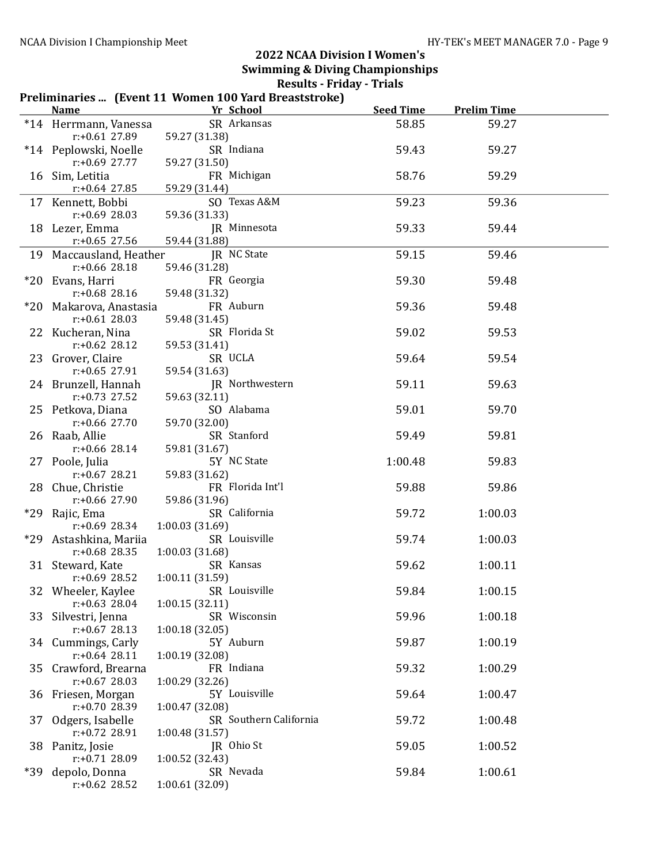|       | Preliminaries  (Event 11 Women 100 Yard Breaststroke)   |                                           |                  |                    |  |
|-------|---------------------------------------------------------|-------------------------------------------|------------------|--------------------|--|
|       | <b>Name</b>                                             | Yr School                                 | <b>Seed Time</b> | <b>Prelim Time</b> |  |
|       | *14 Herrmann, Vanessa<br>$r: +0.61$ 27.89               | SR Arkansas<br>59.27 (31.38)              | 58.85            | 59.27              |  |
|       | *14 Peplowski, Noelle<br>$r: +0.69$ 27.77               | SR Indiana<br>59.27 (31.50)               | 59.43            | 59.27              |  |
|       | 16 Sim, Letitia                                         | FR Michigan                               | 58.76            | 59.29              |  |
|       | $r: +0.64$ 27.85                                        | 59.29 (31.44)                             |                  |                    |  |
|       | 17 Kennett, Bobbi<br>$r: +0.69$ 28.03                   | SO Texas A&M<br>59.36 (31.33)             | 59.23            | 59.36              |  |
|       | 18 Lezer, Emma<br>$r: +0.65$ 27.56                      | JR Minnesota<br>59.44 (31.88)             | 59.33            | 59.44              |  |
|       | 19 Maccausland, Heather                                 | JR NC State                               | 59.15            | 59.46              |  |
|       | $r: +0.66$ 28.18<br>*20 Evans, Harri                    | 59.46 (31.28)<br>FR Georgia               | 59.30            | 59.48              |  |
|       | $r: +0.68$ 28.16                                        | 59.48 (31.32)                             |                  |                    |  |
|       | *20 Makarova, Anastasia<br>$r: +0.61$ 28.03             | FR Auburn<br>59.48 (31.45)                | 59.36            | 59.48              |  |
|       | 22 Kucheran, Nina<br>$r: +0.62$ 28.12                   | SR Florida St<br>59.53 (31.41)            | 59.02            | 59.53              |  |
|       | 23 Grover, Claire<br>$r: +0.65$ 27.91                   | SR UCLA<br>59.54 (31.63)                  | 59.64            | 59.54              |  |
|       | 24 Brunzell, Hannah<br>$r: +0.73$ 27.52                 | JR Northwestern<br>59.63 (32.11)          | 59.11            | 59.63              |  |
|       | 25 Petkova, Diana<br>$r: +0.66$ 27.70                   | SO Alabama<br>59.70 (32.00)               | 59.01            | 59.70              |  |
|       | 26 Raab, Allie<br>$r: +0.66$ 28.14                      | SR Stanford<br>59.81 (31.67)              | 59.49            | 59.81              |  |
|       | 27 Poole, Julia                                         | 5Y NC State                               | 1:00.48          | 59.83              |  |
|       | $r: +0.67$ 28.21<br>28 Chue, Christie                   | 59.83 (31.62)<br>FR Florida Int'l         | 59.88            | 59.86              |  |
|       | $r: +0.66$ 27.90<br>*29 Rajic, Ema                      | 59.86 (31.96)<br>SR California            | 59.72            | 1:00.03            |  |
|       | $r: +0.69$ 28.34<br>*29 Astashkina, Mariia              | 1:00.03 (31.69)<br>SR Louisville          | 59.74            | 1:00.03            |  |
|       | $r: +0.68$ 28.35<br>31 Steward, Kate                    | 1:00.03 (31.68)<br>SR Kansas              | 59.62            | 1:00.11            |  |
|       | r:+0.69 28.52<br>32 Wheeler, Kaylee<br>$r: +0.63$ 28.04 | 1:00.11 (31.59)<br>SR Louisville          | 59.84            | 1:00.15            |  |
|       | 33 Silvestri, Jenna                                     | 1:00.15(32.11)<br>SR Wisconsin            | 59.96            | 1:00.18            |  |
|       | $r: +0.67$ 28.13<br>34 Cummings, Carly                  | 1:00.18(32.05)<br>5Y Auburn               | 59.87            | 1:00.19            |  |
|       | $r: +0.64$ 28.11<br>35 Crawford, Brearna                | 1:00.19 (32.08)<br>FR Indiana             | 59.32            | 1:00.29            |  |
|       | $r: +0.67$ 28.03<br>36 Friesen, Morgan                  | 1:00.29 (32.26)<br>5Y Louisville          | 59.64            | 1:00.47            |  |
| 37    | r:+0.70 28.39<br>Odgers, Isabelle                       | 1:00.47 (32.08)<br>SR Southern California | 59.72            | 1:00.48            |  |
| 38    | r:+0.72 28.91<br>Panitz, Josie                          | 1:00.48 (31.57)<br>JR Ohio St             | 59.05            | 1:00.52            |  |
|       | $r: +0.71$ 28.09                                        | 1:00.52 (32.43)                           |                  |                    |  |
| $*39$ | depolo, Donna<br>$r: +0.62$ 28.52                       | SR Nevada<br>1:00.61 (32.09)              | 59.84            | 1:00.61            |  |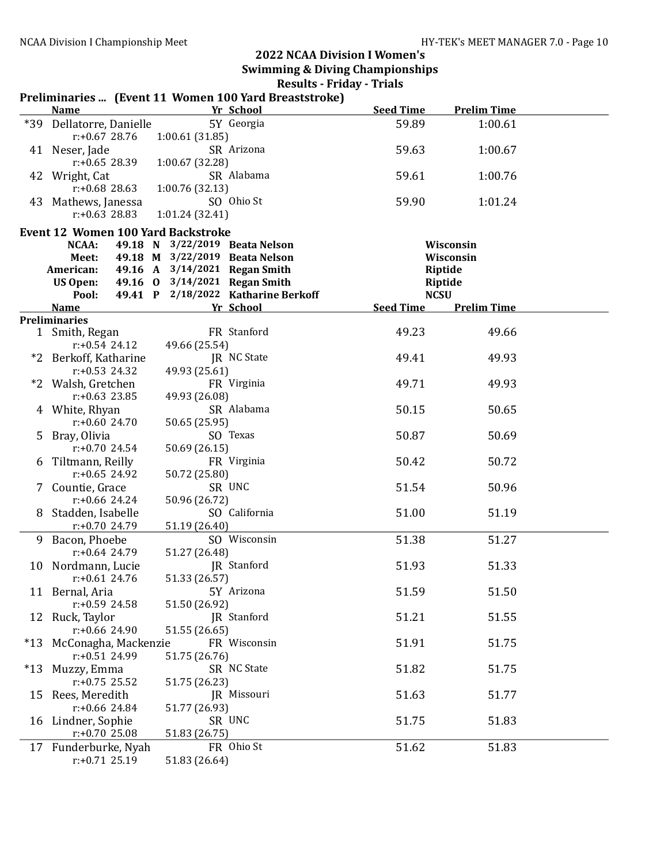|       |                                           |                                | Preliminaries  (Event 11 Women 100 Yard Breaststroke) |                  |                    |  |
|-------|-------------------------------------------|--------------------------------|-------------------------------------------------------|------------------|--------------------|--|
|       | <b>Name</b>                               |                                | Yr School                                             | <b>Seed Time</b> | <b>Prelim Time</b> |  |
|       | *39 Dellatorre, Danielle                  |                                | 5Y Georgia                                            | 59.89            | 1:00.61            |  |
|       | $r: +0.67$ 28.76                          | 1:00.61(31.85)                 |                                                       |                  |                    |  |
|       | 41 Neser, Jade                            |                                | SR Arizona                                            | 59.63            | 1:00.67            |  |
|       | $r: +0.65$ 28.39                          | 1:00.67(32.28)                 |                                                       |                  |                    |  |
|       | 42 Wright, Cat                            |                                | SR Alabama                                            | 59.61            | 1:00.76            |  |
|       | $r: +0.68$ 28.63                          | 1:00.76(32.13)                 |                                                       |                  |                    |  |
|       | 43 Mathews, Janessa                       |                                | SO Ohio St                                            | 59.90            | 1:01.24            |  |
|       | $r: +0.63$ 28.83                          | 1:01.24(32.41)                 |                                                       |                  |                    |  |
|       | <b>Event 12 Women 100 Yard Backstroke</b> |                                |                                                       |                  |                    |  |
|       | NCAA:                                     | 49.18 N 3/22/2019 Beata Nelson |                                                       |                  | Wisconsin          |  |
|       | Meet:                                     | 49.18 M 3/22/2019 Beata Nelson |                                                       |                  | Wisconsin          |  |
|       | American:                                 | 49.16 A 3/14/2021 Regan Smith  |                                                       |                  | <b>Riptide</b>     |  |
|       | US Open:                                  | 49.16 0 3/14/2021 Regan Smith  |                                                       |                  | <b>Riptide</b>     |  |
|       | Pool:                                     |                                | 49.41 P 2/18/2022 Katharine Berkoff                   | <b>NCSU</b>      |                    |  |
|       | <b>Name</b>                               |                                | Yr School                                             | <b>Seed Time</b> | <b>Prelim Time</b> |  |
|       | <b>Preliminaries</b>                      |                                |                                                       |                  |                    |  |
|       | 1 Smith, Regan                            |                                | FR Stanford                                           | 49.23            | 49.66              |  |
|       | $r: +0.54$ 24.12                          | 49.66 (25.54)                  |                                                       |                  |                    |  |
|       | *2 Berkoff, Katharine                     |                                | JR NC State                                           | 49.41            | 49.93              |  |
|       | $r: +0.53$ 24.32                          | 49.93 (25.61)                  |                                                       |                  |                    |  |
|       | *2 Walsh, Gretchen                        |                                | FR Virginia                                           | 49.71            | 49.93              |  |
|       | $r: +0.63$ 23.85                          | 49.93 (26.08)                  |                                                       |                  |                    |  |
|       | 4 White, Rhyan                            |                                | SR Alabama                                            | 50.15            | 50.65              |  |
|       | $r: +0.6024.70$                           | 50.65 (25.95)                  |                                                       |                  |                    |  |
|       | 5 Bray, Olivia                            |                                | SO Texas                                              | 50.87            | 50.69              |  |
|       | $r: +0.70$ 24.54                          | 50.69 (26.15)                  |                                                       |                  |                    |  |
|       | 6 Tiltmann, Reilly                        |                                | FR Virginia                                           | 50.42            | 50.72              |  |
|       | $r: +0.65$ 24.92                          | 50.72 (25.80)                  |                                                       |                  |                    |  |
|       | 7 Countie, Grace                          |                                | SR UNC                                                | 51.54            | 50.96              |  |
|       | $r: +0.66$ 24.24                          | 50.96 (26.72)                  |                                                       |                  |                    |  |
|       | 8 Stadden, Isabelle                       |                                | SO California                                         | 51.00            | 51.19              |  |
|       | $r: +0.70$ 24.79                          | 51.19 (26.40)                  |                                                       |                  |                    |  |
|       | 9 Bacon, Phoebe                           |                                | SO Wisconsin                                          | 51.38            | 51.27              |  |
|       | $r: +0.64$ 24.79                          | 51.27 (26.48)                  |                                                       |                  |                    |  |
|       | 10 Nordmann, Lucie                        |                                | JR Stanford                                           | 51.93            | 51.33              |  |
|       | $r: +0.61$ 24.76                          | 51.33 (26.57)                  |                                                       |                  |                    |  |
|       | 11 Bernal, Aria                           |                                | 5Y Arizona                                            | 51.59            | 51.50              |  |
|       | $r: +0.59$ 24.58                          | 51.50 (26.92)                  |                                                       |                  |                    |  |
|       | 12 Ruck, Taylor                           |                                | JR Stanford                                           | 51.21            | 51.55              |  |
|       | $r: +0.66$ 24.90                          | 51.55 (26.65)                  |                                                       |                  |                    |  |
|       | *13 McConagha, Mackenzie                  |                                | FR Wisconsin                                          | 51.91            | 51.75              |  |
|       | $r: +0.51$ 24.99                          | 51.75 (26.76)                  |                                                       |                  |                    |  |
| $*13$ | Muzzy, Emma                               |                                | SR NC State                                           | 51.82            | 51.75              |  |
|       | $r: +0.75$ 25.52                          | 51.75 (26.23)                  |                                                       |                  |                    |  |
| 15    | Rees, Meredith                            |                                | JR Missouri                                           | 51.63            | 51.77              |  |
|       | r:+0.66 24.84                             | 51.77 (26.93)                  |                                                       |                  |                    |  |
|       | 16 Lindner, Sophie                        |                                | SR UNC                                                | 51.75            | 51.83              |  |
|       | $r: +0.70$ 25.08                          | 51.83 (26.75)                  |                                                       |                  |                    |  |
|       | 17 Funderburke, Nyah                      |                                | FR Ohio St                                            | 51.62            | 51.83              |  |
|       | $r: +0.71$ 25.19                          | 51.83 (26.64)                  |                                                       |                  |                    |  |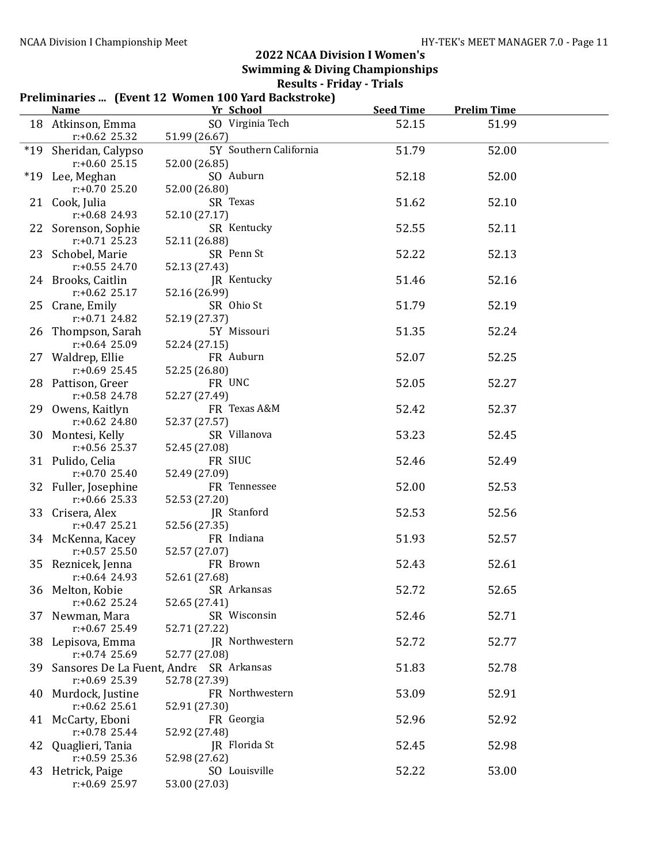# Preliminaries ... (Event 12 Women 100 Yard Backstroke)

|       | <b>Name</b>                             | Yr School                               | <b>Seed Time</b> | <b>Prelim Time</b> |  |
|-------|-----------------------------------------|-----------------------------------------|------------------|--------------------|--|
|       | 18 Atkinson, Emma                       | SO Virginia Tech                        | 52.15            | 51.99              |  |
|       | $r: +0.62$ 25.32                        | 51.99 (26.67)                           |                  |                    |  |
| $*19$ | Sheridan, Calypso                       | 5Y Southern California                  | 51.79            | 52.00              |  |
|       | $r: +0.6025.15$                         | 52.00 (26.85)                           |                  |                    |  |
|       | *19 Lee, Meghan                         | SO Auburn                               | 52.18            | 52.00              |  |
|       | $r: +0.7025.20$                         | 52.00 (26.80)                           |                  |                    |  |
|       | 21 Cook, Julia                          | SR Texas                                | 51.62            | 52.10              |  |
|       | $r: +0.68$ 24.93                        | 52.10 (27.17)<br>SR Kentucky            |                  |                    |  |
|       | 22 Sorenson, Sophie<br>$r: +0.71$ 25.23 | 52.11 (26.88)                           | 52.55            | 52.11              |  |
|       | 23 Schobel, Marie                       | SR Penn St                              | 52.22            | 52.13              |  |
|       | $r: +0.55$ 24.70                        | 52.13 (27.43)                           |                  |                    |  |
|       | 24 Brooks, Caitlin                      | JR Kentucky                             | 51.46            | 52.16              |  |
|       | $r: +0.62$ 25.17                        | 52.16 (26.99)                           |                  |                    |  |
|       | 25 Crane, Emily                         | SR Ohio St                              | 51.79            | 52.19              |  |
|       | $r: +0.71$ 24.82                        | 52.19 (27.37)                           |                  |                    |  |
|       | 26 Thompson, Sarah                      | 5Y Missouri                             | 51.35            | 52.24              |  |
|       | $r: +0.64$ 25.09                        | 52.24 (27.15)                           |                  |                    |  |
|       | 27 Waldrep, Ellie                       | FR Auburn                               | 52.07            | 52.25              |  |
|       | $r: +0.69$ 25.45                        | 52.25 (26.80)                           |                  |                    |  |
|       | 28 Pattison, Greer                      | FR UNC                                  | 52.05            | 52.27              |  |
|       | r:+0.58 24.78                           | 52.27 (27.49)                           |                  |                    |  |
|       | 29 Owens, Kaitlyn<br>$r: +0.62$ 24.80   | FR Texas A&M<br>52.37 (27.57)           | 52.42            | 52.37              |  |
|       | 30 Montesi, Kelly                       | SR Villanova                            | 53.23            | 52.45              |  |
|       | $r: +0.56$ 25.37                        | 52.45 (27.08)                           |                  |                    |  |
|       | 31 Pulido, Celia                        | FR SIUC                                 | 52.46            | 52.49              |  |
|       | $r: +0.70$ 25.40                        | 52.49 (27.09)                           |                  |                    |  |
|       | 32 Fuller, Josephine                    | FR Tennessee                            | 52.00            | 52.53              |  |
|       | $r: +0.66$ 25.33                        | 52.53 (27.20)                           |                  |                    |  |
|       | 33 Crisera, Alex                        | JR Stanford                             | 52.53            | 52.56              |  |
|       | $r: +0.47$ 25.21                        | 52.56 (27.35)                           |                  |                    |  |
|       | 34 McKenna, Kacey                       | FR Indiana                              | 51.93            | 52.57              |  |
|       | $r: +0.57$ 25.50                        | 52.57 (27.07)                           |                  |                    |  |
|       | 35 Reznicek, Jenna<br>$r: +0.64$ 24.93  | FR Brown                                | 52.43            | 52.61              |  |
|       | 36 Melton, Kobie                        | 52.61 (27.68)<br>SR Arkansas            | 52.72            | 52.65              |  |
|       | $r: +0.62$ 25.24                        | 52.65 (27.41)                           |                  |                    |  |
| 37    | Newman, Mara                            | SR Wisconsin                            | 52.46            | 52.71              |  |
|       | $r: +0.67$ 25.49                        | 52.71 (27.22)                           |                  |                    |  |
|       | 38 Lepisova, Emma                       | JR Northwestern                         | 52.72            | 52.77              |  |
|       | $r: +0.74$ 25.69                        | 52.77 (27.08)                           |                  |                    |  |
| 39    |                                         | Sansores De La Fuent, Andre SR Arkansas | 51.83            | 52.78              |  |
|       | $r: +0.69$ 25.39                        | 52.78 (27.39)                           |                  |                    |  |
| 40    | Murdock, Justine                        | FR Northwestern                         | 53.09            | 52.91              |  |
|       | $r: +0.62$ 25.61                        | 52.91 (27.30)                           |                  |                    |  |
|       | 41 McCarty, Eboni                       | FR Georgia                              | 52.96            | 52.92              |  |
|       | $r: +0.78$ 25.44                        | 52.92 (27.48)                           |                  |                    |  |
| 42    | Quaglieri, Tania<br>$r: +0.59$ 25.36    | JR Florida St<br>52.98 (27.62)          | 52.45            | 52.98              |  |
|       | 43 Hetrick, Paige                       | SO Louisville                           | 52.22            | 53.00              |  |
|       | $r: +0.69$ 25.97                        | 53.00 (27.03)                           |                  |                    |  |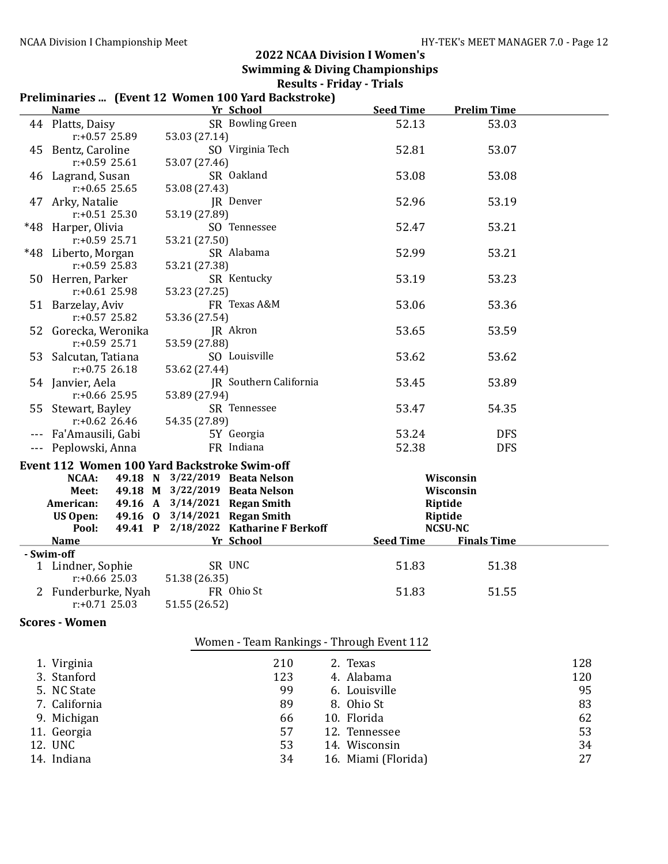#### Preliminaries ... (Event 12 Women 100 Yard Backstroke)

| <b>Name</b>                             | Yr School                                          | <b>Seed Time</b> | <b>Prelim Time</b>                   |  |
|-----------------------------------------|----------------------------------------------------|------------------|--------------------------------------|--|
| 44 Platts, Daisy                        | SR Bowling Green                                   | 52.13            | 53.03                                |  |
| $r: +0.57$ 25.89                        | 53.03 (27.14)                                      |                  |                                      |  |
| 45 Bentz, Caroline                      | SO Virginia Tech                                   | 52.81            | 53.07                                |  |
| $r: +0.59$ 25.61                        | 53.07 (27.46)                                      |                  |                                      |  |
| 46 Lagrand, Susan                       | SR Oakland                                         | 53.08            | 53.08                                |  |
| $r: +0.65$ 25.65                        | 53.08 (27.43)                                      |                  |                                      |  |
| 47 Arky, Natalie                        | JR Denver                                          | 52.96            | 53.19                                |  |
| $r: +0.51$ 25.30                        | 53.19 (27.89)                                      |                  |                                      |  |
| *48 Harper, Olivia                      | SO Tennessee                                       | 52.47            | 53.21                                |  |
| r:+0.59 25.71                           | 53.21 (27.50)<br>SR Alabama                        |                  | 53.21                                |  |
| *48 Liberto, Morgan<br>$r: +0.59$ 25.83 | 53.21 (27.38)                                      | 52.99            |                                      |  |
| 50 Herren, Parker                       | SR Kentucky                                        | 53.19            | 53.23                                |  |
| $r: +0.61$ 25.98                        | 53.23 (27.25)                                      |                  |                                      |  |
| 51 Barzelay, Aviv                       | FR Texas A&M                                       | 53.06            | 53.36                                |  |
| $r: +0.57$ 25.82                        | 53.36 (27.54)                                      |                  |                                      |  |
| 52 Gorecka, Weronika                    | JR Akron                                           | 53.65            | 53.59                                |  |
| $r: +0.59$ 25.71                        | 53.59 (27.88)                                      |                  |                                      |  |
| 53 Salcutan, Tatiana                    | SO Louisville                                      | 53.62            | 53.62                                |  |
| $r: +0.75$ 26.18                        | 53.62 (27.44)                                      |                  |                                      |  |
| 54 Janvier, Aela                        | JR Southern California                             | 53.45            | 53.89                                |  |
| $r: +0.66$ 25.95                        | 53.89 (27.94)                                      |                  |                                      |  |
| 55 Stewart, Bayley                      | SR Tennessee                                       | 53.47            | 54.35                                |  |
| $r: +0.62$ 26.46                        | 54.35 (27.89)                                      |                  |                                      |  |
| --- Fa'Amausili, Gabi                   | 5Y Georgia                                         | 53.24            | <b>DFS</b>                           |  |
| Peplowski, Anna                         | FR Indiana                                         | 52.38            | <b>DFS</b>                           |  |
|                                         | Event 112 Women 100 Yard Backstroke Swim-off       |                  |                                      |  |
| NCAA:                                   | 49.18 N 3/22/2019 Beata Nelson                     |                  | Wisconsin                            |  |
| Meet:                                   | 49.18 M 3/22/2019 Beata Nelson                     |                  | Wisconsin                            |  |
| American:                               | 49.16 A 3/14/2021 Regan Smith                      | Riptide          |                                      |  |
| <b>US Open:</b>                         | 49.16 0 3/14/2021 Regan Smith                      | Riptide          |                                      |  |
| Pool:<br><b>Name</b>                    | 49.41 P 2/18/2022 Katharine F Berkoff<br>Yr School | <b>Seed Time</b> | <b>NCSU-NC</b><br><b>Finals Time</b> |  |
| - Swim-off                              |                                                    |                  |                                      |  |
| 1 Lindner, Sophie                       | SR UNC                                             | 51.83            | 51.38                                |  |
| $r: +0.66$ 25.03                        | 51.38 (26.35)                                      |                  |                                      |  |
| 2 Funderburke, Nyah                     | FR Ohio St                                         | 51.83            | 51.55                                |  |
| $r: +0.71$ 25.03                        | 51.55 (26.52)                                      |                  |                                      |  |
| <b>Scores - Women</b>                   |                                                    |                  |                                      |  |
|                                         |                                                    |                  |                                      |  |
|                                         | Women - Team Rankings - Through Event 112          |                  |                                      |  |

| 1. Virginia   | 210 | 2. Texas            | 128 |
|---------------|-----|---------------------|-----|
| 3. Stanford   | 123 | 4. Alabama          | 120 |
| 5. NC State   | 99  | 6. Louisville       | 95  |
| 7. California | 89  | 8. Ohio St          | 83  |
| 9. Michigan   | 66  | 10. Florida         | 62  |
| 11. Georgia   | 57  | 12. Tennessee       | 53  |
| 12. UNC       | 53  | 14. Wisconsin       | 34  |
| 14. Indiana   | 34  | 16. Miami (Florida) | 27  |
|               |     |                     |     |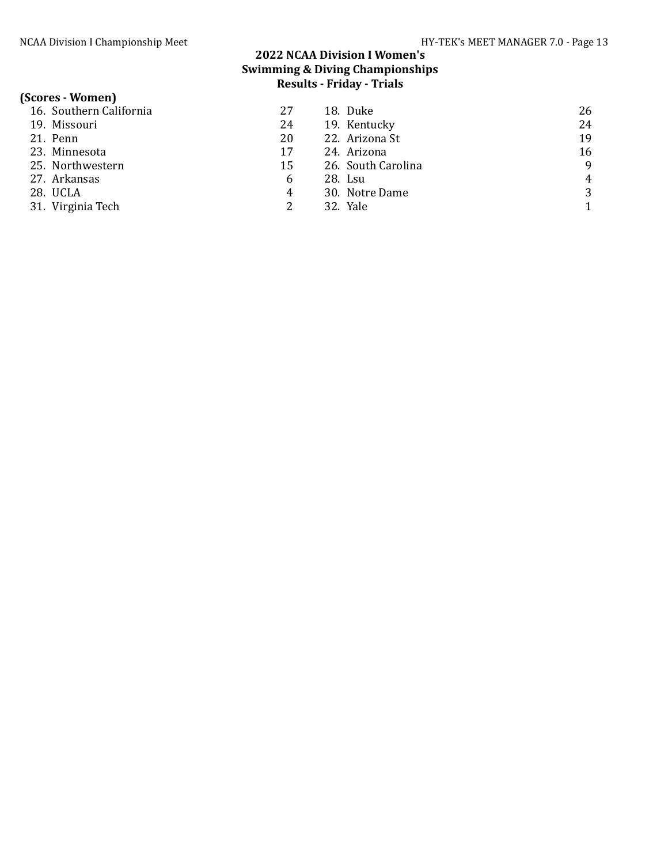# (Scores - Women)<br>16. Southern Cal

| 16. Southern California | 27 | 18. Duke           | 26             |
|-------------------------|----|--------------------|----------------|
| 19. Missouri            | 24 | 19. Kentucky       | 24             |
| 21. Penn                | 20 | 22. Arizona St     | 19             |
| 23. Minnesota           | 17 | 24. Arizona        | 16             |
| 25. Northwestern        | 15 | 26. South Carolina | 9              |
| 27. Arkansas            | 6  | 28. Lsu            | $\overline{4}$ |
| 28. UCLA                | 4  | 30. Notre Dame     | 3              |
| 31. Virginia Tech       |    | 32. Yale           |                |
|                         |    |                    |                |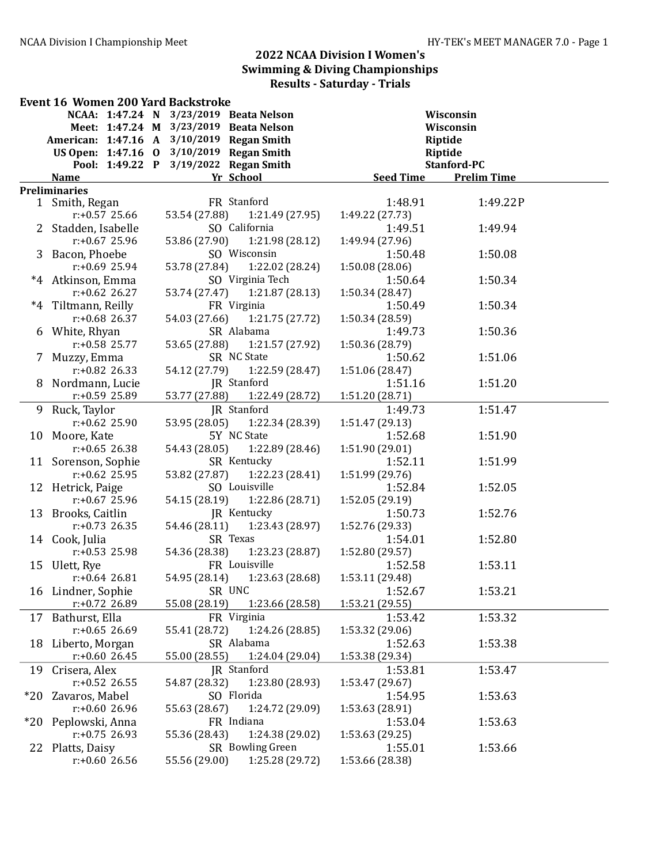|       | <b>Event 16 Women 200 Yard Backstroke</b> |                  |  |               |                                           |                  |                    |  |
|-------|-------------------------------------------|------------------|--|---------------|-------------------------------------------|------------------|--------------------|--|
|       |                                           |                  |  |               | NCAA: 1:47.24 N 3/23/2019 Beata Nelson    |                  | Wisconsin          |  |
|       |                                           |                  |  |               | Meet: 1:47.24 M 3/23/2019 Beata Nelson    |                  | Wisconsin          |  |
|       |                                           |                  |  |               | American: 1:47.16 A 3/10/2019 Regan Smith |                  | Riptide            |  |
|       |                                           |                  |  |               | US Open: 1:47.16 0 3/10/2019 Regan Smith  |                  | Riptide            |  |
|       |                                           |                  |  |               | Pool: 1:49.22 P 3/19/2022 Regan Smith     |                  | Stanford-PC        |  |
|       | <b>Name</b>                               |                  |  |               | Yr School                                 | <b>Seed Time</b> | <b>Prelim Time</b> |  |
|       | <b>Preliminaries</b>                      |                  |  |               |                                           |                  |                    |  |
|       | 1 Smith, Regan                            |                  |  |               | FR Stanford                               | 1:48.91          | 1:49.22P           |  |
|       |                                           | $r: +0.57$ 25.66 |  |               | 53.54 (27.88) 1:21.49 (27.95)             | 1:49.22 (27.73)  |                    |  |
|       | 2 Stadden, Isabelle                       |                  |  |               | SO California                             | 1:49.51          | 1:49.94            |  |
|       |                                           | $r: +0.67$ 25.96 |  |               | 53.86 (27.90) 1:21.98 (28.12)             | 1:49.94 (27.96)  |                    |  |
|       | 3 Bacon, Phoebe                           |                  |  |               | SO Wisconsin                              | 1:50.48          | 1:50.08            |  |
|       |                                           | $r: +0.69$ 25.94 |  |               | 53.78 (27.84) 1:22.02 (28.24)             | 1:50.08(28.06)   |                    |  |
|       | *4 Atkinson, Emma                         |                  |  |               | SO Virginia Tech                          | 1:50.64          | 1:50.34            |  |
|       |                                           | $r: +0.62$ 26.27 |  |               | 53.74 (27.47)  1:21.87 (28.13)            | 1:50.34 (28.47)  |                    |  |
|       | *4 Tiltmann, Reilly                       |                  |  |               | FR Virginia                               | 1:50.49          | 1:50.34            |  |
|       |                                           | $r: +0.68$ 26.37 |  |               | 54.03 (27.66) 1:21.75 (27.72)             | 1:50.34 (28.59)  |                    |  |
|       | 6 White, Rhyan                            |                  |  |               | SR Alabama                                | 1:49.73          | 1:50.36            |  |
|       |                                           | $r: +0.58$ 25.77 |  |               | 53.65 (27.88) 1:21.57 (27.92)             | 1:50.36 (28.79)  |                    |  |
|       | 7 Muzzy, Emma                             |                  |  |               | SR NC State                               | 1:50.62          | 1:51.06            |  |
|       |                                           | $r: +0.82$ 26.33 |  |               | 54.12 (27.79)   1:22.59 (28.47)           | 1:51.06 (28.47)  |                    |  |
|       | 8 Nordmann, Lucie                         |                  |  |               | JR Stanford                               | 1:51.16          | 1:51.20            |  |
|       |                                           | $r: +0.59$ 25.89 |  | 53.77 (27.88) | 1:22.49 (28.72)                           | 1:51.20 (28.71)  |                    |  |
|       | 9 Ruck, Taylor                            |                  |  |               | JR Stanford                               | 1:49.73          | 1:51.47            |  |
|       |                                           | $r: +0.62$ 25.90 |  | 53.95 (28.05) | 1:22.34 (28.39)                           | 1:51.47 (29.13)  |                    |  |
|       | 10 Moore, Kate                            |                  |  |               | 5Y NC State                               | 1:52.68          | 1:51.90            |  |
|       |                                           | $r: +0.65$ 26.38 |  | 54.43 (28.05) | 1:22.89 (28.46)                           | 1:51.90 (29.01)  |                    |  |
|       | 11 Sorenson, Sophie                       |                  |  |               | SR Kentucky                               | 1:52.11          | 1:51.99            |  |
|       |                                           | $r: +0.62$ 25.95 |  | 53.82 (27.87) | 1:22.23 (28.41)                           | 1:51.99 (29.76)  |                    |  |
|       | 12 Hetrick, Paige                         |                  |  |               | SO Louisville                             | 1:52.84          | 1:52.05            |  |
|       |                                           | $r: +0.67$ 25.96 |  | 54.15 (28.19) | 1:22.86 (28.71)                           | 1:52.05 (29.19)  |                    |  |
|       | 13 Brooks, Caitlin                        |                  |  |               | JR Kentucky                               | 1:50.73          | 1:52.76            |  |
|       |                                           | $r: +0.73$ 26.35 |  | 54.46 (28.11) | 1:23.43 (28.97)                           | 1:52.76 (29.33)  |                    |  |
|       | 14 Cook, Julia                            |                  |  |               | SR Texas                                  | 1:54.01          | 1:52.80            |  |
|       |                                           | $r: +0.53$ 25.98 |  | 54.36 (28.38) | 1:23.23 (28.87)                           | 1:52.80 (29.57)  |                    |  |
| 15    | Ulett, Rye                                |                  |  |               | FR Louisville                             | 1:52.58          | 1:53.11            |  |
|       |                                           | $r: +0.64$ 26.81 |  | 54.95 (28.14) | 1:23.63 (28.68)                           | 1:53.11 (29.48)  |                    |  |
|       | 16 Lindner, Sophie                        |                  |  |               | SR UNC                                    | 1:52.67          | 1:53.21            |  |
|       |                                           | r:+0.72 26.89    |  | 55.08 (28.19) | 1:23.66 (28.58)                           | 1:53.21 (29.55)  |                    |  |
|       | 17 Bathurst, Ella                         |                  |  |               | FR Virginia                               | 1:53.42          | 1:53.32            |  |
|       |                                           | $r: +0.65$ 26.69 |  | 55.41 (28.72) | 1:24.26 (28.85)                           | 1:53.32 (29.06)  |                    |  |
|       | 18 Liberto, Morgan                        |                  |  |               | SR Alabama                                | 1:52.63          | 1:53.38            |  |
|       |                                           | $r: +0.60$ 26.45 |  | 55.00 (28.55) | 1:24.04 (29.04)                           | 1:53.38 (29.34)  |                    |  |
| 19    | Crisera, Alex                             |                  |  |               | JR Stanford                               | 1:53.81          | 1:53.47            |  |
|       |                                           | $r: +0.52$ 26.55 |  | 54.87 (28.32) | 1:23.80 (28.93)                           | 1:53.47 (29.67)  |                    |  |
| $*20$ | Zavaros, Mabel                            |                  |  |               | SO Florida                                | 1:54.95          | 1:53.63            |  |
|       |                                           | $r: +0.6026.96$  |  | 55.63 (28.67) | 1:24.72 (29.09)                           | 1:53.63 (28.91)  |                    |  |
| $*20$ | Peplowski, Anna                           |                  |  |               | FR Indiana                                | 1:53.04          | 1:53.63            |  |
|       |                                           | $r: +0.75$ 26.93 |  | 55.36 (28.43) | 1:24.38 (29.02)                           | 1:53.63 (29.25)  |                    |  |
|       | 22 Platts, Daisy                          |                  |  |               | SR Bowling Green                          | 1:55.01          | 1:53.66            |  |
|       |                                           | $r: +0.6026.56$  |  | 55.56 (29.00) | 1:25.28 (29.72)                           | 1:53.66 (28.38)  |                    |  |
|       |                                           |                  |  |               |                                           |                  |                    |  |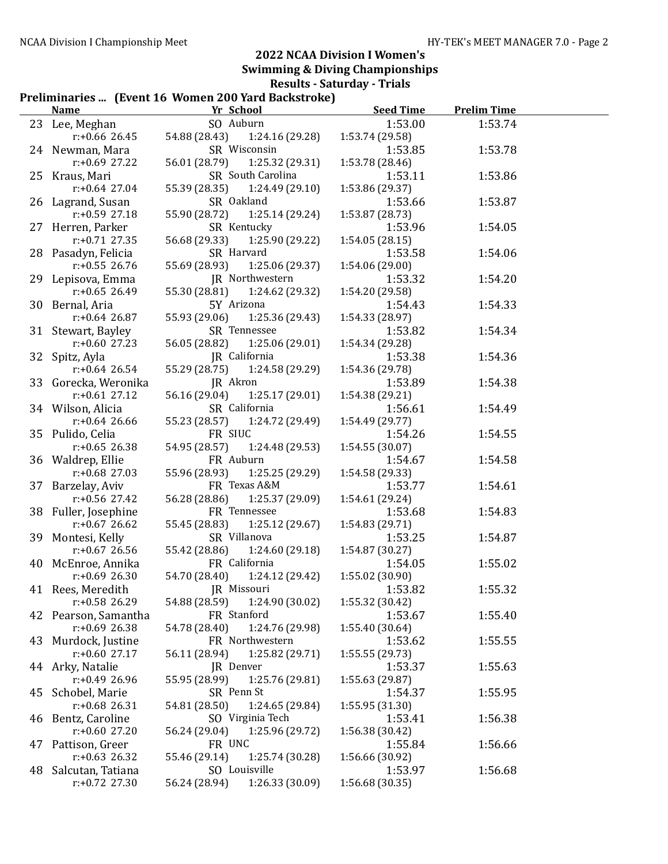# Preliminaries ... (Event 16 Women 200 Yard Backstroke)

|    | <b>Name</b>                            | r reminiaries … Tuvent Io Women 200 Tara Daeisti one j<br>Yr School | <b>Seed Time</b>           | <b>Prelim Time</b> |  |
|----|----------------------------------------|---------------------------------------------------------------------|----------------------------|--------------------|--|
|    | 23 Lee, Meghan                         | SO Auburn                                                           | 1:53.00                    | 1:53.74            |  |
|    | $r$ :+0.66 26.45                       | 54.88 (28.43)<br>1:24.16 (29.28)                                    | 1:53.74 (29.58)            |                    |  |
|    | 24 Newman, Mara                        | SR Wisconsin                                                        | 1:53.85                    | 1:53.78            |  |
|    | $r$ :+0.69 27.22                       | 56.01 (28.79)<br>1:25.32 (29.31)                                    | 1:53.78 (28.46)            |                    |  |
|    | 25 Kraus, Mari                         | SR South Carolina                                                   | 1:53.11                    | 1:53.86            |  |
|    | $r$ :+0.64 27.04                       | 55.39 (28.35)<br>1:24.49(29.10)                                     | 1:53.86 (29.37)            |                    |  |
|    | 26 Lagrand, Susan                      | SR Oakland                                                          | 1:53.66                    | 1:53.87            |  |
|    | $r: +0.59$ 27.18                       | 1:25.14 (29.24)<br>55.90 (28.72)                                    | 1:53.87 (28.73)            |                    |  |
|    | 27 Herren, Parker                      | SR Kentucky                                                         | 1:53.96                    | 1:54.05            |  |
|    | $r: +0.71$ 27.35                       | 56.68 (29.33)<br>1:25.90 (29.22)                                    | 1:54.05(28.15)             |                    |  |
|    | 28 Pasadyn, Felicia                    | SR Harvard                                                          | 1:53.58                    | 1:54.06            |  |
|    | $r: +0.55$ 26.76                       | 55.69 (28.93)<br>1:25.06 (29.37)                                    | 1:54.06 (29.00)            |                    |  |
|    | 29 Lepisova, Emma                      | JR Northwestern                                                     | 1:53.32                    | 1:54.20            |  |
|    | $r: +0.65$ 26.49                       | 55.30 (28.81)<br>1:24.62 (29.32)                                    | 1:54.20 (29.58)            |                    |  |
|    | 30 Bernal, Aria                        | 5Y Arizona                                                          | 1:54.43                    | 1:54.33            |  |
|    | $r: +0.64$ 26.87                       | 55.93 (29.06)<br>1:25.36 (29.43)                                    | 1:54.33 (28.97)            |                    |  |
|    | 31 Stewart, Bayley                     | SR Tennessee                                                        | 1:53.82                    | 1:54.34            |  |
|    | $r: +0.60$ 27.23                       | 56.05 (28.82)<br>1:25.06(29.01)                                     | 1:54.34 (29.28)            |                    |  |
| 32 | Spitz, Ayla                            | JR California                                                       | 1:53.38                    | 1:54.36            |  |
|    | $r: +0.64$ 26.54                       | 55.29 (28.75)<br>1:24.58 (29.29)                                    | 1:54.36 (29.78)            |                    |  |
|    | 33 Gorecka, Weronika                   | JR Akron                                                            | 1:53.89                    | 1:54.38            |  |
|    | $r: +0.61$ 27.12                       | 56.16 (29.04)<br>1:25.17(29.01)                                     | 1:54.38 (29.21)            |                    |  |
|    | 34 Wilson, Alicia                      | SR California                                                       | 1:56.61                    | 1:54.49            |  |
|    | $r: +0.64$ 26.66                       | 55.23 (28.57)<br>1:24.72 (29.49)                                    | 1:54.49 (29.77)            |                    |  |
|    | 35 Pulido, Celia                       | FR SIUC                                                             | 1:54.26                    | 1:54.55            |  |
|    | $r: +0.65$ 26.38                       | 54.95 (28.57)<br>1:24.48 (29.53)                                    | 1:54.55 (30.07)            |                    |  |
|    | 36 Waldrep, Ellie                      | FR Auburn                                                           | 1:54.67                    | 1:54.58            |  |
|    | $r: +0.68$ 27.03                       | 55.96 (28.93)<br>1:25.25 (29.29)                                    | 1:54.58 (29.33)            |                    |  |
|    | 37 Barzelay, Aviv                      | FR Texas A&M                                                        | 1:53.77                    | 1:54.61            |  |
|    | $r: +0.56$ 27.42                       | 56.28 (28.86)<br>1:25.37 (29.09)                                    | 1:54.61 (29.24)            |                    |  |
|    | 38 Fuller, Josephine                   | FR Tennessee                                                        | 1:53.68                    | 1:54.83            |  |
|    | $r: +0.67$ 26.62                       | 55.45 (28.83)<br>1:25.12 (29.67)                                    | 1:54.83 (29.71)            |                    |  |
|    | 39 Montesi, Kelly                      | SR Villanova                                                        | 1:53.25                    | 1:54.87            |  |
|    | r:+0.67 26.56                          | 55.42 (28.86)<br>1:24.60 (29.18)                                    | 1:54.87 (30.27)            |                    |  |
|    | 40 McEnroe, Annika                     | FR California                                                       | 1:54.05                    | 1:55.02            |  |
|    | $r: +0.69$ 26.30                       | 54.70 (28.40) 1:24.12 (29.42)                                       | 1:55.02 (30.90)            |                    |  |
|    | 41 Rees, Meredith                      | JR Missouri                                                         | 1:53.82                    | 1:55.32            |  |
|    | r:+0.58 26.29                          | 54.88 (28.59)<br>1:24.90 (30.02)                                    | 1:55.32 (30.42)            |                    |  |
| 42 | Pearson, Samantha                      | FR Stanford                                                         | 1:53.67                    | 1:55.40            |  |
|    | $r: +0.69$ 26.38                       | 54.78 (28.40)<br>1:24.76 (29.98)                                    | 1:55.40 (30.64)            |                    |  |
|    | 43 Murdock, Justine                    | FR Northwestern                                                     | 1:53.62                    | 1:55.55            |  |
|    | $r: +0.60$ 27.17                       | 1:25.82 (29.71)<br>56.11 (28.94)                                    | 1:55.55 (29.73)            |                    |  |
|    | 44 Arky, Natalie                       | JR Denver                                                           | 1:53.37                    | 1:55.63            |  |
|    | $r: +0.49$ 26.96                       | 55.95 (28.99)<br>1:25.76 (29.81)                                    | 1:55.63 (29.87)            |                    |  |
| 45 | Schobel, Marie                         | SR Penn St                                                          | 1:54.37                    | 1:55.95            |  |
|    | $r: +0.68$ 26.31                       | 54.81 (28.50)<br>1:24.65 (29.84)<br>SO Virginia Tech                | 1:55.95 (31.30)            |                    |  |
|    | 46 Bentz, Caroline<br>$r: +0.60$ 27.20 | 1:25.96 (29.72)<br>56.24 (29.04)                                    | 1:53.41                    | 1:56.38            |  |
|    |                                        | FR UNC                                                              | 1:56.38 (30.42)<br>1:55.84 | 1:56.66            |  |
| 47 | Pattison, Greer<br>$r: +0.63$ 26.32    | 1:25.74 (30.28)<br>55.46 (29.14)                                    | 1:56.66 (30.92)            |                    |  |
| 48 | Salcutan, Tatiana                      | SO Louisville                                                       | 1:53.97                    | 1:56.68            |  |
|    | $r: +0.72$ 27.30                       | 1:26.33 (30.09)<br>56.24 (28.94)                                    | 1:56.68 (30.35)            |                    |  |
|    |                                        |                                                                     |                            |                    |  |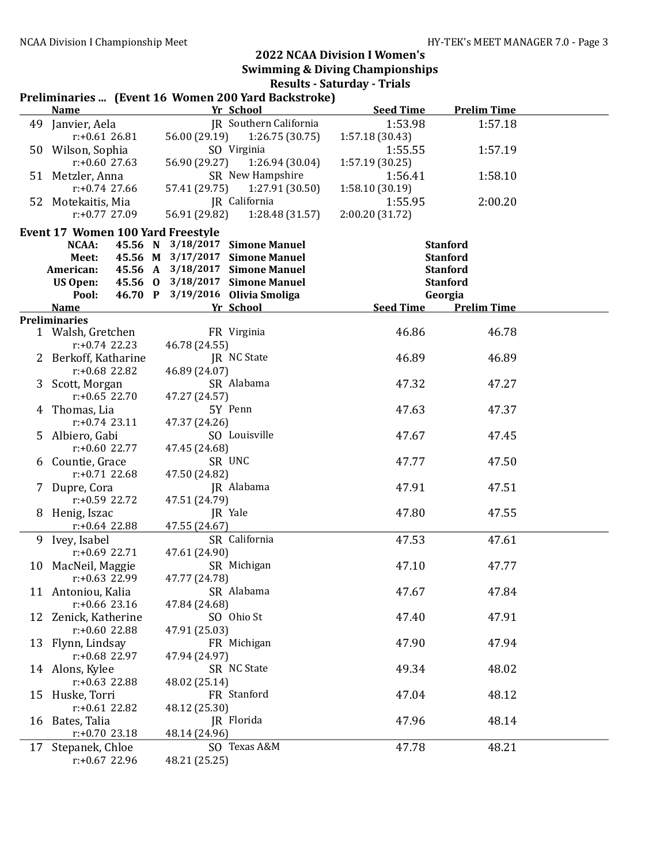#### Preliminaries ... (Event 16 Women 200 Yard Backstroke)

|    | <b>Name</b>                              |               | Yr School                                                          | <b>Seed Time</b> | <b>Prelim Time</b>                 |  |
|----|------------------------------------------|---------------|--------------------------------------------------------------------|------------------|------------------------------------|--|
|    | 49 Janvier, Aela                         |               | JR Southern California                                             | 1:53.98          | 1:57.18                            |  |
|    | $r: +0.6126.81$                          | 56.00 (29.19) | 1:26.75(30.75)                                                     | 1:57.18 (30.43)  |                                    |  |
|    | 50 Wilson, Sophia                        |               | SO Virginia                                                        | 1:55.55          | 1:57.19                            |  |
|    | $r: +0.60$ 27.63                         | 56.90 (29.27) | 1:26.94(30.04)                                                     | 1:57.19 (30.25)  |                                    |  |
|    | 51 Metzler, Anna                         |               | SR New Hampshire                                                   | 1:56.41          | 1:58.10                            |  |
|    | $r: +0.74$ 27.66                         | 57.41 (29.75) | 1:27.91 (30.50)                                                    | 1:58.10(30.19)   |                                    |  |
|    | 52 Motekaitis, Mia                       |               | JR California                                                      | 1:55.95          | 2:00.20                            |  |
|    | $r: +0.77$ 27.09                         | 56.91 (29.82) | 1:28.48 (31.57)                                                    | 2:00.20 (31.72)  |                                    |  |
|    |                                          |               |                                                                    |                  |                                    |  |
|    | <b>Event 17 Women 100 Yard Freestyle</b> |               |                                                                    |                  |                                    |  |
|    | NCAA:                                    |               | 45.56 N 3/18/2017 Simone Manuel<br>45.56 M 3/17/2017 Simone Manuel |                  | <b>Stanford</b><br><b>Stanford</b> |  |
|    | Meet:<br>American:                       |               | 45.56 A 3/18/2017 Simone Manuel                                    |                  | <b>Stanford</b>                    |  |
|    | <b>US Open:</b>                          |               | 45.56 0 3/18/2017 Simone Manuel                                    |                  | <b>Stanford</b>                    |  |
|    | Pool:                                    |               | 46.70 P 3/19/2016 Olivia Smoliga                                   |                  |                                    |  |
|    | <b>Name</b>                              |               | Yr School                                                          | Seed Time        | Georgia<br><b>Prelim Time</b>      |  |
|    | <b>Preliminaries</b>                     |               |                                                                    |                  |                                    |  |
|    | 1 Walsh, Gretchen                        |               | FR Virginia                                                        | 46.86            | 46.78                              |  |
|    | $r: +0.74$ 22.23                         | 46.78 (24.55) |                                                                    |                  |                                    |  |
|    | 2 Berkoff, Katharine                     |               | JR NC State                                                        | 46.89            | 46.89                              |  |
|    | $r: +0.68$ 22.82                         | 46.89 (24.07) |                                                                    |                  |                                    |  |
| 3  | Scott, Morgan                            |               | SR Alabama                                                         | 47.32            | 47.27                              |  |
|    | $r: +0.65$ 22.70                         | 47.27 (24.57) |                                                                    |                  |                                    |  |
| 4  | Thomas, Lia                              |               | 5Y Penn                                                            | 47.63            | 47.37                              |  |
|    | $r: +0.74$ 23.11                         | 47.37 (24.26) |                                                                    |                  |                                    |  |
| 5  | Albiero, Gabi                            |               | SO Louisville                                                      | 47.67            | 47.45                              |  |
|    | $r: +0.60$ 22.77                         | 47.45 (24.68) |                                                                    |                  |                                    |  |
| 6  | Countie, Grace                           |               | SR UNC                                                             | 47.77            | 47.50                              |  |
|    | $r: +0.71$ 22.68                         | 47.50 (24.82) |                                                                    |                  |                                    |  |
|    | Dupre, Cora                              |               | JR Alabama                                                         | 47.91            | 47.51                              |  |
|    | r:+0.59 22.72                            | 47.51 (24.79) |                                                                    |                  |                                    |  |
| 8  | Henig, Iszac                             |               | JR Yale                                                            | 47.80            | 47.55                              |  |
|    | $r: +0.64$ 22.88                         | 47.55 (24.67) |                                                                    |                  |                                    |  |
|    | 9 Ivey, Isabel                           |               | SR California                                                      | 47.53            | 47.61                              |  |
|    | r:+0.69 22.71                            | 47.61 (24.90) |                                                                    |                  |                                    |  |
|    | 10 MacNeil, Maggie                       |               | SR Michigan                                                        | 47.10            | 47.77                              |  |
|    | r:+0.63 22.99                            | 47.77 (24.78) |                                                                    |                  |                                    |  |
|    | 11 Antoniou, Kalia                       |               | SR Alabama                                                         | 47.67            | 47.84                              |  |
|    | $r: +0.66$ 23.16                         | 47.84 (24.68) |                                                                    |                  |                                    |  |
|    | 12 Zenick, Katherine                     |               | SO Ohio St                                                         | 47.40            | 47.91                              |  |
|    | r:+0.60 22.88                            | 47.91 (25.03) |                                                                    |                  |                                    |  |
|    | 13 Flynn, Lindsay                        |               | FR Michigan                                                        | 47.90            | 47.94                              |  |
|    | r:+0.68 22.97                            | 47.94 (24.97) |                                                                    |                  |                                    |  |
|    | 14 Alons, Kylee                          |               | SR NC State                                                        | 49.34            | 48.02                              |  |
|    | $r: +0.63$ 22.88                         | 48.02 (25.14) |                                                                    |                  |                                    |  |
|    | 15 Huske, Torri                          |               | FR Stanford                                                        | 47.04            | 48.12                              |  |
|    | $r: +0.61$ 22.82                         | 48.12 (25.30) |                                                                    |                  |                                    |  |
|    | 16 Bates, Talia                          |               | JR Florida                                                         | 47.96            | 48.14                              |  |
|    | $r: +0.70$ 23.18                         | 48.14 (24.96) |                                                                    |                  |                                    |  |
| 17 | Stepanek, Chloe                          |               | SO Texas A&M                                                       | 47.78            | 48.21                              |  |
|    | $r: +0.67$ 22.96                         | 48.21 (25.25) |                                                                    |                  |                                    |  |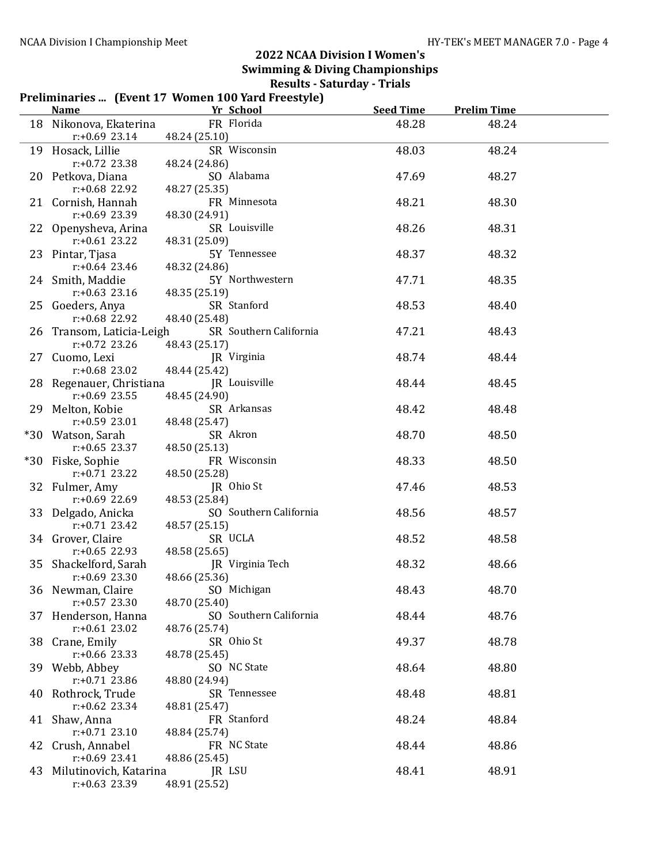#### Preliminaries ... (Event 17 Women 100 Yard Freestyle) Name The School Seed Time Prelim Time 18 Nikonova, Ekaterina FR Florida 48.28 48.24 r:+0.69 23.14 48.24 (25.10) 19 Hosack, Lillie SR Wisconsin 48.03 48.24 r:+0.72 23.38 48.24 (24.86) 20 Petkova, Diana SO Alabama 47.69 48.27 r:+0.68 22.92 48.27 (25.35) 21 Cornish, Hannah FR Minnesota 48.21 48.30<br>  $r: +0.69$  23.39 48.30 (24.91) 48.30 (24.91) 22 Openysheva, Arina SR Louisville 48.26 48.31 r:+0.61 23.22 48.31 (25.09) 23 Pintar, Tjasa 5Y Tennessee 48.37 48.32 r:+0.64 23.46 48.32 (24.86) 24 Smith, Maddie 5Y Northwestern 47.71 48.35 r:+0.63 23.16 48.35 (25.19) 25 Goeders, Anya SR Stanford 48.53 48.40 r:+0.68 22.92 48.40 (25.48) 26 Transom, Laticia-Leigh SR Southern California 47.21 48.43 r:+0.72 23.26 48.43 (25.17) 27 Cuomo, Lexi **IR Virginia** 18.74 48.74 48.44 r:+0.68 23.02 48.44 (25.42) 28 Regenauer, Christiana JR Louisville 48.44 48.45<br>
r:+0.69 23.55 48.45 (24.90) 48.45 (24.90) 29 Melton, Kobie SR Arkansas 48.42 48.48 r:+0.59 23.01 48.48 (25.47) \*30 Watson, Sarah SR Akron 48.70 48.50 r:+0.65 23.37 48.50 (25.13) \*30 Fiske, Sophie FR Wisconsin 48.33 48.50 r:+0.71 23.22 48.50 (25.28) 32 Fulmer, Amy JR Ohio St 47.46 48.53 r:+0.69 22.69 48.53 (25.84) 33 Delgado, Anicka SO Southern California 48.56 48.57 r:+0.71 23.42 48.57 (25.15) 34 Grover, Claire SR UCLA 48.52 48.58 r:+0.65 22.93 48.58 (25.65)<br>ckelford, Sarah 1R Virginia Tech 35 Shackelford, Sarah JR Virginia Tech 48.32 48.66 r:+0.69 23.30 48.66 (25.36) 36 Newman, Claire SO Michigan 48.43 48.70 r:+0.57 23.30 48.70 (25.40) 37 Henderson, Hanna SO Southern California 48.44 48.76 r:+0.61 23.02 48.76 (25.74) 38 Crane, Emily SR Ohio St 49.37 48.78 r:+0.66 23.33 48.78 (25.45) 39 Webb, Abbey SO NC State 48.64 48.80 r:+0.71 23.86 48.80 (24.94) 40 Rothrock, Trude SR Tennessee 48.48 48.81 r:+0.62 23.34 48.81 (25.47) 41 Shaw, Anna FR Stanford 48.24 48.84 48.84 (25.74) 42 Crush, Annabel **FR** NC State **18.44** 48.86 r:+0.69 23.41 48.86 (25.45) 43 Milutinovich, Katarina JR LSU 48.41 48.91 r:+0.63 23.39 48.91 (25.52)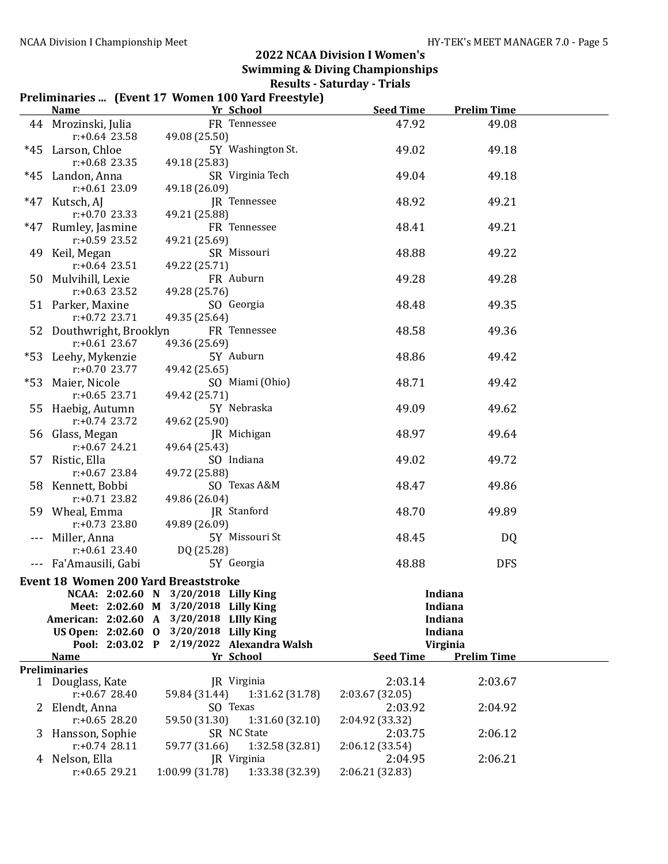# Preliminaries ... (Event 17 Women 100 Yard Freestyle)

|    | <b>Name</b>                                 | Yr School                            | <b>Seed Time</b> | <b>Prelim Time</b> |  |
|----|---------------------------------------------|--------------------------------------|------------------|--------------------|--|
|    | 44 Mrozinski, Julia                         | FR Tennessee                         | 47.92            | 49.08              |  |
|    | $r: +0.64$ 23.58                            | 49.08 (25.50)                        |                  |                    |  |
|    | *45 Larson, Chloe                           | 5Y Washington St.                    | 49.02            | 49.18              |  |
|    | $r: +0.68$ 23.35                            | 49.18 (25.83)                        |                  |                    |  |
|    | *45 Landon, Anna                            | SR Virginia Tech                     | 49.04            | 49.18              |  |
|    | $r: +0.61$ 23.09                            | 49.18 (26.09)                        |                  |                    |  |
|    | *47 Kutsch, AJ                              | JR Tennessee                         | 48.92            | 49.21              |  |
|    | $r: +0.70$ 23.33                            | 49.21 (25.88)                        |                  |                    |  |
|    | *47 Rumley, Jasmine                         | FR Tennessee                         | 48.41            | 49.21              |  |
|    | $r: +0.59$ 23.52                            | 49.21 (25.69)                        |                  |                    |  |
|    | 49 Keil, Megan                              | SR Missouri                          | 48.88            | 49.22              |  |
|    | $r: +0.64$ 23.51                            | 49.22 (25.71)                        |                  |                    |  |
|    | 50 Mulvihill, Lexie                         | FR Auburn                            | 49.28            | 49.28              |  |
|    | $r: +0.63$ 23.52                            | 49.28 (25.76)                        |                  |                    |  |
|    | 51 Parker, Maxine                           | SO Georgia                           | 48.48            | 49.35              |  |
|    | $r: +0.72$ 23.71                            | 49.35 (25.64)                        |                  |                    |  |
|    | 52 Douthwright, Brooklyn                    | FR Tennessee                         | 48.58            | 49.36              |  |
|    | $r: +0.61$ 23.67                            | 49.36 (25.69)                        |                  |                    |  |
|    | *53 Leehy, Mykenzie                         | 5Y Auburn                            | 48.86            | 49.42              |  |
|    | $r: +0.70$ 23.77                            | 49.42 (25.65)                        |                  |                    |  |
|    | *53 Maier, Nicole                           | SO Miami (Ohio)                      | 48.71            | 49.42              |  |
|    | $r: +0.65$ 23.71                            | 49.42 (25.71)                        |                  |                    |  |
|    | 55 Haebig, Autumn                           | 5Y Nebraska                          | 49.09            | 49.62              |  |
|    | $r: +0.74$ 23.72                            | 49.62 (25.90)                        |                  |                    |  |
|    | 56 Glass, Megan                             | JR Michigan                          | 48.97            | 49.64              |  |
|    | $r: +0.67$ 24.21                            | 49.64 (25.43)                        |                  |                    |  |
|    | 57 Ristic, Ella                             | SO Indiana                           | 49.02            | 49.72              |  |
|    | $r: +0.67$ 23.84                            | 49.72 (25.88)                        |                  |                    |  |
|    | 58 Kennett, Bobbi                           | SO Texas A&M                         | 48.47            | 49.86              |  |
|    | $r: +0.71$ 23.82                            | 49.86 (26.04)                        |                  |                    |  |
|    | 59 Wheal, Emma                              | JR Stanford                          | 48.70            | 49.89              |  |
|    | $r: +0.73$ 23.80                            | 49.89 (26.09)                        |                  |                    |  |
|    | --- Miller, Anna                            | 5Y Missouri St                       | 48.45            | DQ                 |  |
|    | $r: +0.61$ 23.40                            | DQ (25.28)                           |                  |                    |  |
|    | --- Fa'Amausili, Gabi                       | 5Y Georgia                           | 48.88            | <b>DFS</b>         |  |
|    | <b>Event 18 Women 200 Yard Breaststroke</b> |                                      |                  |                    |  |
|    |                                             | NCAA: 2:02.60 N 3/20/2018 Lilly King |                  | Indiana            |  |
|    |                                             | Meet: 2:02.60 M 3/20/2018 Lilly King |                  | Indiana            |  |
|    | American: 2:02.60 A                         | $3/20/2018$ Lilly King               |                  | Indiana            |  |
|    | US Open: 2:02.60 0                          | 3/20/2018 Lilly King                 |                  | Indiana            |  |
|    | Pool: 2:03.02 P                             | 2/19/2022 Alexandra Walsh            |                  | Virginia           |  |
|    | <b>Name</b>                                 | Yr School                            | <b>Seed Time</b> | <b>Prelim Time</b> |  |
|    | <b>Preliminaries</b>                        |                                      |                  |                    |  |
|    | 1 Douglass, Kate                            | JR Virginia                          | 2:03.14          | 2:03.67            |  |
|    | $r: +0.67$ 28.40                            | 59.84 (31.44)<br>1:31.62 (31.78)     | 2:03.67 (32.05)  |                    |  |
|    | 2 Elendt, Anna                              | SO Texas                             | 2:03.92          | 2:04.92            |  |
|    | $r: +0.65$ 28.20                            | 59.50 (31.30)<br>1:31.60(32.10)      | 2:04.92 (33.32)  |                    |  |
| 3. | Hansson, Sophie                             | SR NC State                          | 2:03.75          | 2:06.12            |  |
|    | $r: +0.74$ 28.11                            | 59.77 (31.66)<br>1:32.58 (32.81)     | 2:06.12 (33.54)  |                    |  |
|    | 4 Nelson, Ella                              | JR Virginia                          | 2:04.95          | 2:06.21            |  |
|    | $r: +0.65$ 29.21                            | 1:00.99 (31.78)<br>1:33.38 (32.39)   | 2:06.21 (32.83)  |                    |  |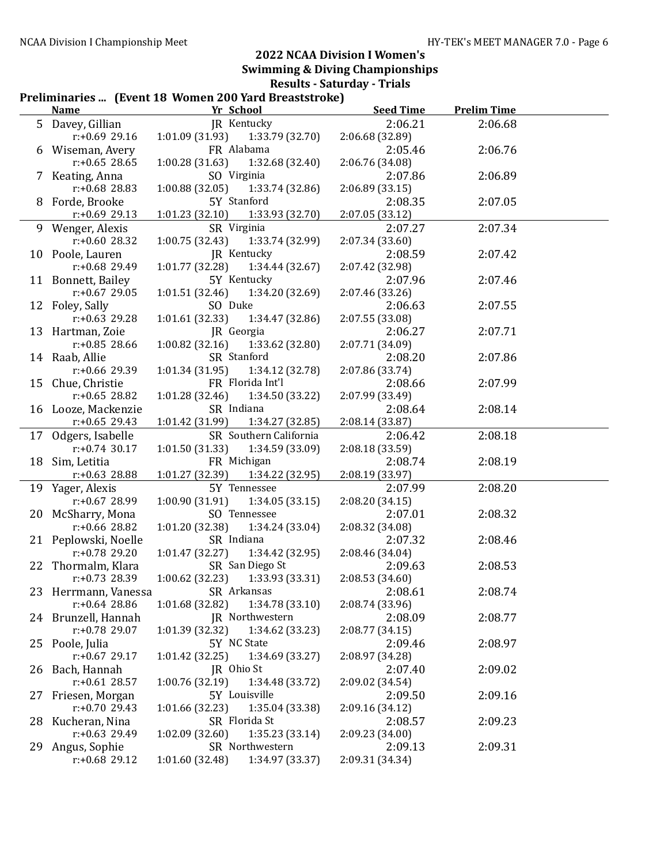#### Preliminaries ... (Event 18 Women 200 Yard Breaststroke)

|    | <b>Name</b>          | i rennimaries  [Event To Women 200 Taru Dreastströße]<br>Yr School | <b>Seed Time</b> | <b>Prelim Time</b> |  |
|----|----------------------|--------------------------------------------------------------------|------------------|--------------------|--|
|    | 5 Davey, Gillian     | JR Kentucky                                                        | 2:06.21          | 2:06.68            |  |
|    | $r: +0.69$ 29.16     | $1:01.09(31.93)$ $1:33.79(32.70)$                                  | 2:06.68 (32.89)  |                    |  |
|    | 6 Wiseman, Avery     | FR Alabama                                                         | 2:05.46          | 2:06.76            |  |
|    | $r: +0.65$ 28.65     | 1:00.28(31.63)<br>1:32.68 (32.40)                                  | 2:06.76 (34.08)  |                    |  |
|    | 7 Keating, Anna      | SO Virginia                                                        | 2:07.86          | 2:06.89            |  |
|    | $r: +0.68$ 28.83     | 1:00.88(32.05)<br>1:33.74 (32.86)                                  | 2:06.89 (33.15)  |                    |  |
|    | 8 Forde, Brooke      | 5Y Stanford                                                        | 2:08.35          | 2:07.05            |  |
|    | $r: +0.69$ 29.13     | 1:01.23(32.10)<br>1:33.93 (32.70)                                  | 2:07.05 (33.12)  |                    |  |
|    | 9 Wenger, Alexis     | SR Virginia                                                        | 2:07.27          | 2:07.34            |  |
|    | $r: +0.60$ 28.32     | 1:00.75 (32.43) 1:33.74 (32.99)                                    | 2:07.34 (33.60)  |                    |  |
|    | 10 Poole, Lauren     | JR Kentucky                                                        | 2:08.59          | 2:07.42            |  |
|    | $r: +0.68$ 29.49     | 1:01.77(32.28)<br>1:34.44 (32.67)                                  | 2:07.42 (32.98)  |                    |  |
|    | 11 Bonnett, Bailey   | 5Y Kentucky                                                        | 2:07.96          | 2:07.46            |  |
|    | $r: +0.67$ 29.05     | 1:01.51(32.46)<br>1:34.20 (32.69)                                  | 2:07.46 (33.26)  |                    |  |
|    | 12 Foley, Sally      | SO Duke                                                            | 2:06.63          | 2:07.55            |  |
|    | $r: +0.63$ 29.28     | 1:01.61(32.33)<br>1:34.47 (32.86)                                  | 2:07.55 (33.08)  |                    |  |
|    | 13 Hartman, Zoie     | JR Georgia                                                         | 2:06.27          | 2:07.71            |  |
|    | $r: +0.85$ 28.66     | 1:00.82(32.16)<br>1:33.62 (32.80)                                  | 2:07.71 (34.09)  |                    |  |
|    | 14 Raab, Allie       | SR Stanford                                                        | 2:08.20          | 2:07.86            |  |
|    | $r: +0.66$ 29.39     | 1:01.34(31.95)<br>1:34.12 (32.78)                                  | 2:07.86 (33.74)  |                    |  |
|    | 15 Chue, Christie    | FR Florida Int'l                                                   | 2:08.66          | 2:07.99            |  |
|    | $r: +0.65$ 28.82     | 1:34.50 (33.22)<br>1:01.28 (32.46)                                 | 2:07.99 (33.49)  |                    |  |
|    | 16 Looze, Mackenzie  | SR Indiana                                                         | 2:08.64          | 2:08.14            |  |
|    | $r$ :+0.65 29.43     | 1:01.42(31.99)<br>1:34.27 (32.85)                                  | 2:08.14 (33.87)  |                    |  |
|    | 17 Odgers, Isabelle  | SR Southern California                                             | 2:06.42          | 2:08.18            |  |
|    | $r$ :+0.74 30.17     | 1:01.50 (31.33)<br>1:34.59 (33.09)                                 | 2:08.18 (33.59)  |                    |  |
|    | 18 Sim, Letitia      | FR Michigan                                                        | 2:08.74          | 2:08.19            |  |
|    | $r: +0.63$ 28.88     | 1:01.27 (32.39)<br>1:34.22 (32.95)                                 | 2:08.19 (33.97)  |                    |  |
|    | 19 Yager, Alexis     | 5Y Tennessee                                                       | 2:07.99          | 2:08.20            |  |
|    | $r: +0.67$ 28.99     | 1:34.05(33.15)<br>1:00.90(31.91)                                   | 2:08.20 (34.15)  |                    |  |
|    | 20 McSharry, Mona    | SO Tennessee                                                       | 2:07.01          | 2:08.32            |  |
|    | r:+0.66 28.82        | 1:01.20 (32.38)<br>1:34.24 (33.04)                                 | 2:08.32 (34.08)  |                    |  |
|    | 21 Peplowski, Noelle | SR Indiana                                                         | 2:07.32          | 2:08.46            |  |
|    | $r: +0.78$ 29.20     | 1:34.42 (32.95)<br>1:01.47(32.27)                                  | 2:08.46 (34.04)  |                    |  |
|    | 22 Thormalm, Klara   | SR San Diego St                                                    | 2:09.63          | 2:08.53            |  |
|    | $r: +0.73$ 28.39     | $1:00.62$ (32.23) $1:33.93$ (33.31)                                | 2:08.53 (34.60)  |                    |  |
|    | 23 Herrmann, Vanessa | SR Arkansas                                                        | 2:08.61          | 2:08.74            |  |
|    | $r: +0.64$ 28.86     | 1:01.68(32.82)<br>1:34.78 (33.10)                                  | 2:08.74 (33.96)  |                    |  |
|    | 24 Brunzell, Hannah  | JR Northwestern                                                    | 2:08.09          | 2:08.77            |  |
|    | $r: +0.78$ 29.07     | 1:01.39 (32.32)<br>1:34.62 (33.23)                                 | 2:08.77 (34.15)  |                    |  |
|    | 25 Poole, Julia      | 5Y NC State                                                        | 2:09.46          | 2:08.97            |  |
|    | $r: +0.67$ 29.17     | 1:01.42 (32.25)<br>1:34.69 (33.27)                                 | 2:08.97 (34.28)  |                    |  |
|    | 26 Bach, Hannah      | JR Ohio St                                                         | 2:07.40          | 2:09.02            |  |
|    | $r: +0.61$ 28.57     | 1:00.76 (32.19)<br>1:34.48 (33.72)                                 | 2:09.02 (34.54)  |                    |  |
| 27 | Friesen, Morgan      | 5Y Louisville                                                      | 2:09.50          | 2:09.16            |  |
|    | $r: +0.7029.43$      | 1:01.66 (32.23)<br>1:35.04 (33.38)                                 | 2:09.16 (34.12)  |                    |  |
|    | 28 Kucheran, Nina    | SR Florida St                                                      | 2:08.57          | 2:09.23            |  |
|    | $r: +0.63$ 29.49     | 1:02.09 (32.60)<br>1:35.23(33.14)                                  | 2:09.23 (34.00)  |                    |  |
| 29 | Angus, Sophie        | SR Northwestern                                                    | 2:09.13          | 2:09.31            |  |
|    | $r: +0.68$ 29.12     | 1:01.60 (32.48)<br>1:34.97 (33.37)                                 | 2:09.31 (34.34)  |                    |  |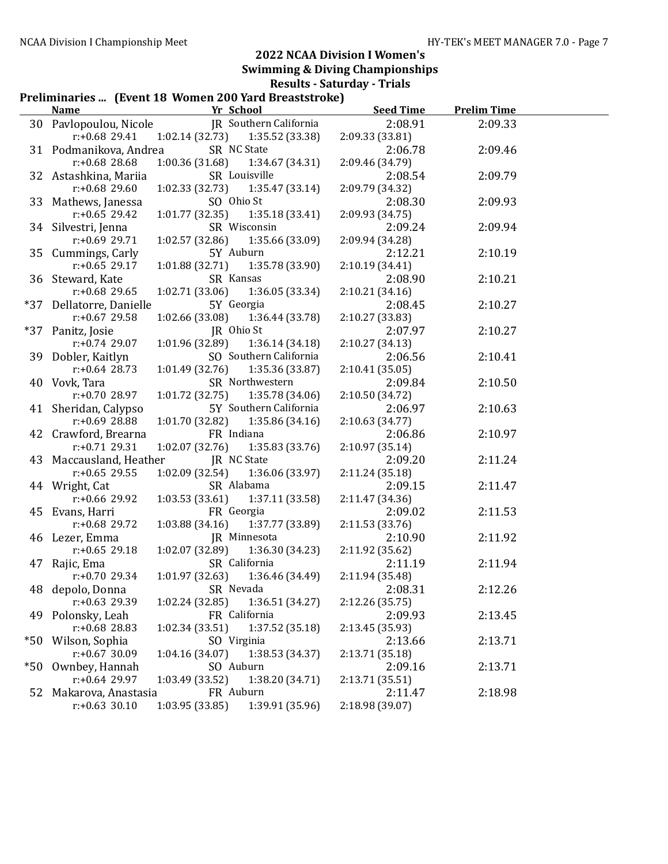#### Preliminaries ... (Event 18 Women 200 Yard Breaststroke)

|     | <b>Name</b>              | Yr School                           | <b>Seed Time</b> | <b>Prelim Time</b> |  |
|-----|--------------------------|-------------------------------------|------------------|--------------------|--|
|     | 30 Pavlopoulou, Nicole   | JR Southern California              | 2:08.91          | 2:09.33            |  |
|     | $r: +0.68$ 29.41         | 1:02.14(32.73)<br>1:35.52 (33.38)   | 2:09.33 (33.81)  |                    |  |
|     | 31 Podmanikova, Andrea   | SR NC State                         | 2:06.78          | 2:09.46            |  |
|     | $r: +0.68$ 28.68         | 1:00.36(31.68)<br>1:34.67 (34.31)   | 2:09.46 (34.79)  |                    |  |
|     | 32 Astashkina, Mariia    | SR Louisville                       | 2:08.54          | 2:09.79            |  |
|     | $r: +0.68$ 29.60         | 1:02.33(32.73)<br>1:35.47(33.14)    | 2:09.79 (34.32)  |                    |  |
|     | 33 Mathews, Janessa      | SO Ohio St                          | 2:08.30          | 2:09.93            |  |
|     | $r: +0.65$ 29.42         | 1:01.77 (32.35)<br>1:35.18(33.41)   | 2:09.93 (34.75)  |                    |  |
|     | 34 Silvestri, Jenna      | SR Wisconsin                        | 2:09.24          | 2:09.94            |  |
|     | $r: +0.69$ 29.71         | 1:02.57(32.86)<br>1:35.66 (33.09)   | 2:09.94 (34.28)  |                    |  |
|     | 35 Cummings, Carly       | 5Y Auburn                           | 2:12.21          | 2:10.19            |  |
|     | $r: +0.65$ 29.17         | 1:01.88(32.71)<br>1:35.78 (33.90)   | 2:10.19 (34.41)  |                    |  |
|     | 36 Steward, Kate         | SR Kansas                           | 2:08.90          | 2:10.21            |  |
|     | $r: +0.68$ 29.65         | 1:02.71(33.06)<br>1:36.05(33.34)    | 2:10.21 (34.16)  |                    |  |
|     | *37 Dellatorre, Danielle | 5Y Georgia                          | 2:08.45          | 2:10.27            |  |
|     | $r: +0.67$ 29.58         | 1:02.66(33.08)<br>1:36.44 (33.78)   | 2:10.27 (33.83)  |                    |  |
| *37 | Panitz, Josie            | JR Ohio St                          | 2:07.97          | 2:10.27            |  |
|     | $r: +0.74$ 29.07         | 1:01.96 (32.89)<br>1:36.14 (34.18)  | 2:10.27 (34.13)  |                    |  |
|     | 39 Dobler, Kaitlyn       | SO Southern California              | 2:06.56          | 2:10.41            |  |
|     | $r: +0.64$ 28.73         | $1:01.49$ (32.76) $1:35.36$ (33.87) | 2:10.41(35.05)   |                    |  |
|     | 40 Vovk, Tara            | SR Northwestern                     | 2:09.84          | 2:10.50            |  |
|     | $r: +0.7028.97$          | 1:01.72(32.75)<br>1:35.78 (34.06)   | 2:10.50 (34.72)  |                    |  |
|     | 41 Sheridan, Calypso     | 5Y Southern California              | 2:06.97          | 2:10.63            |  |
|     | $r: +0.69$ 28.88         | 1:01.70(32.82)<br>1:35.86 (34.16)   | 2:10.63 (34.77)  |                    |  |
|     | 42 Crawford, Brearna     | FR Indiana                          | 2:06.86          | 2:10.97            |  |
|     | $r: +0.71$ 29.31         | 1:02.07(32.76)<br>1:35.83 (33.76)   | 2:10.97 (35.14)  |                    |  |
|     | 43 Maccausland, Heather  | JR NC State                         | 2:09.20          | 2:11.24            |  |
|     | $r: +0.65$ 29.55         | 1:02.09 (32.54)<br>1:36.06 (33.97)  | 2:11.24 (35.18)  |                    |  |
|     | 44 Wright, Cat           | SR Alabama                          | 2:09.15          | 2:11.47            |  |
|     | r:+0.66 29.92            | 1:03.53(33.61)<br>1:37.11 (33.58)   | 2:11.47 (34.36)  |                    |  |
|     | 45 Evans, Harri          | FR Georgia                          | 2:09.02          | 2:11.53            |  |
|     | r:+0.68 29.72            | 1:03.88(34.16)<br>1:37.77 (33.89)   | 2:11.53 (33.76)  |                    |  |
|     | 46 Lezer, Emma           | JR Minnesota                        | 2:10.90          | 2:11.92            |  |
|     | $r: +0.65$ 29.18         | 1:02.07(32.89)<br>1:36.30 (34.23)   | 2:11.92 (35.62)  |                    |  |
|     | 47 Rajic, Ema            | SR California                       | 2:11.19          | 2:11.94            |  |
|     | $r: +0.7029.34$          | 1:01.97(32.63)<br>1:36.46 (34.49)   | 2:11.94 (35.48)  |                    |  |
|     | 48 depolo, Donna         | SR Nevada                           | 2:08.31          | 2:12.26            |  |
|     | r:+0.63 29.39            | 1:36.51 (34.27)<br>1:02.24 (32.85)  | 2:12.26 (35.75)  |                    |  |
| 49  | Polonsky, Leah           | FR California                       | 2:09.93          | 2:13.45            |  |
|     | $r: +0.68$ 28.83         | 1:37.52 (35.18)<br>1:02.34(33.51)   | 2:13.45 (35.93)  |                    |  |
| *50 | Wilson, Sophia           | SO Virginia                         | 2:13.66          | 2:13.71            |  |
|     | $r: +0.67$ 30.09         | 1:04.16(34.07)<br>1:38.53 (34.37)   | 2:13.71 (35.18)  |                    |  |
| *50 | Ownbey, Hannah           | SO Auburn                           | 2:09.16          | 2:13.71            |  |
|     | $r: +0.64$ 29.97         | 1:03.49 (33.52)<br>1:38.20 (34.71)  | 2:13.71 (35.51)  |                    |  |
| 52  | Makarova, Anastasia      | FR Auburn                           | 2:11.47          | 2:18.98            |  |
|     | $r: +0.63$ 30.10         | 1:39.91 (35.96)<br>1:03.95(33.85)   | 2:18.98 (39.07)  |                    |  |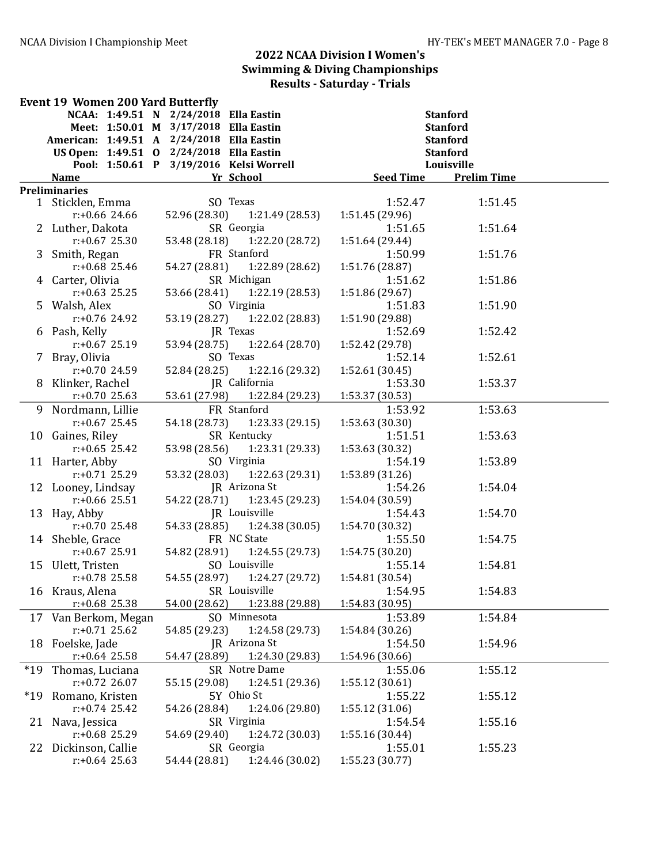|       | <b>Event 19 Women 200 Yard Butterfly</b> |                                           |                  |                    |  |  |  |
|-------|------------------------------------------|-------------------------------------------|------------------|--------------------|--|--|--|
|       |                                          | NCAA: 1:49.51 N 2/24/2018 Ella Eastin     | <b>Stanford</b>  |                    |  |  |  |
|       |                                          | Meet: 1:50.01 M 3/17/2018 Ella Eastin     | <b>Stanford</b>  |                    |  |  |  |
|       |                                          | American: 1:49.51 A 2/24/2018 Ella Eastin | <b>Stanford</b>  |                    |  |  |  |
|       |                                          | US Open: 1:49.51 0 2/24/2018 Ella Eastin  | <b>Stanford</b>  |                    |  |  |  |
|       |                                          | Pool: 1:50.61 P 3/19/2016 Kelsi Worrell   | Louisville       |                    |  |  |  |
|       | <b>Name</b>                              | Yr School                                 | <b>Seed Time</b> | <b>Prelim Time</b> |  |  |  |
|       | <b>Preliminaries</b>                     |                                           |                  |                    |  |  |  |
|       | 1 Sticklen, Emma                         | SO Texas                                  | 1:52.47          | 1:51.45            |  |  |  |
|       | $r: +0.66$ 24.66                         | 52.96 (28.30) 1:21.49 (28.53)             | 1:51.45 (29.96)  |                    |  |  |  |
|       | 2 Luther, Dakota                         | SR Georgia                                | 1:51.65          | 1:51.64            |  |  |  |
|       | $r: +0.67$ 25.30                         | 53.48 (28.18) 1:22.20 (28.72)             | 1:51.64 (29.44)  |                    |  |  |  |
|       | 3 Smith, Regan                           | FR Stanford                               | 1:50.99          | 1:51.76            |  |  |  |
|       | $r: +0.68$ 25.46                         | 54.27 (28.81) 1:22.89 (28.62)             | 1:51.76 (28.87)  |                    |  |  |  |
|       | 4 Carter, Olivia                         | SR Michigan                               | 1:51.62          | 1:51.86            |  |  |  |
|       | $r: +0.63$ 25.25                         | 53.66 (28.41) 1:22.19 (28.53)             | 1:51.86 (29.67)  |                    |  |  |  |
|       | 5 Walsh, Alex                            | SO Virginia                               | 1:51.83          | 1:51.90            |  |  |  |
|       | $r: +0.76$ 24.92                         | 53.19 (28.27) 1:22.02 (28.83)             | 1:51.90 (29.88)  |                    |  |  |  |
|       | 6 Pash, Kelly                            | JR Texas                                  | 1:52.69          | 1:52.42            |  |  |  |
|       | $r: +0.67$ 25.19                         | 53.94 (28.75)<br>1:22.64 (28.70)          | 1:52.42 (29.78)  |                    |  |  |  |
|       | 7 Bray, Olivia                           | SO Texas                                  | 1:52.14          | 1:52.61            |  |  |  |
|       | $r: +0.70$ 24.59                         | 52.84 (28.25)<br>1:22.16 (29.32)          | 1:52.61 (30.45)  |                    |  |  |  |
|       | 8 Klinker, Rachel                        | JR California                             | 1:53.30          | 1:53.37            |  |  |  |
|       | $r: +0.70$ 25.63                         | 53.61 (27.98)<br>1:22.84 (29.23)          | 1:53.37 (30.53)  |                    |  |  |  |
|       | 9 Nordmann, Lillie                       | FR Stanford                               | 1:53.92          | 1:53.63            |  |  |  |
|       | $r: +0.67$ 25.45                         | 54.18 (28.73) 1:23.33 (29.15)             | 1:53.63 (30.30)  |                    |  |  |  |
|       | 10 Gaines, Riley                         | SR Kentucky                               | 1:51.51          | 1:53.63            |  |  |  |
|       | $r: +0.65$ 25.42                         | 1:23.31 (29.33)<br>53.98 (28.56)          | 1:53.63 (30.32)  |                    |  |  |  |
|       | 11 Harter, Abby                          | SO Virginia                               | 1:54.19          | 1:53.89            |  |  |  |
|       | $r: +0.71$ 25.29                         | 53.32 (28.03)<br>1:22.63 (29.31)          | 1:53.89 (31.26)  |                    |  |  |  |
|       | 12 Looney, Lindsay                       | JR Arizona St                             | 1:54.26          | 1:54.04            |  |  |  |
|       | $r: +0.66$ 25.51                         | 54.22 (28.71)<br>1:23.45 (29.23)          | 1:54.04 (30.59)  |                    |  |  |  |
|       | 13 Hay, Abby                             | JR Louisville                             | 1:54.43          | 1:54.70            |  |  |  |
|       | $r: +0.70$ 25.48                         | 54.33 (28.85)<br>1:24.38(30.05)           | 1:54.70 (30.32)  |                    |  |  |  |
|       | 14 Sheble, Grace                         | FR NC State                               | 1:55.50          | 1:54.75            |  |  |  |
|       | $r: +0.67$ 25.91                         | 1:24.55(29.73)<br>54.82 (28.91)           | 1:54.75 (30.20)  |                    |  |  |  |
|       | 15 Ulett, Tristen                        | SO Louisville                             | 1:55.14          | 1:54.81            |  |  |  |
|       | $r: +0.78$ 25.58                         | 54.55 (28.97)<br>1:24.27 (29.72)          | 1:54.81 (30.54)  |                    |  |  |  |
|       | 16 Kraus, Alena                          | SR Louisville                             | 1:54.95          | 1:54.83            |  |  |  |
|       | $r: +0.68$ 25.38                         | 1:23.88 (29.88)<br>54.00 (28.62)          | 1:54.83 (30.95)  |                    |  |  |  |
|       | 17 Van Berkom, Megan                     | SO Minnesota                              | 1:53.89          | 1:54.84            |  |  |  |
|       | $r: +0.71$ 25.62                         | 54.85 (29.23)<br>1:24.58 (29.73)          | 1:54.84 (30.26)  |                    |  |  |  |
|       | 18 Foelske, Jade                         | JR Arizona St                             | 1:54.50          | 1:54.96            |  |  |  |
|       | $r$ :+0.64 25.58                         | 54.47 (28.89)<br>1:24.30 (29.83)          | 1:54.96 (30.66)  |                    |  |  |  |
| $*19$ | Thomas, Luciana                          | SR Notre Dame                             | 1:55.06          | 1:55.12            |  |  |  |
|       | $r: +0.72$ 26.07                         | 55.15 (29.08)<br>1:24.51 (29.36)          | 1:55.12 (30.61)  |                    |  |  |  |
| $*19$ | Romano, Kristen                          | 5Y Ohio St                                | 1:55.22          | 1:55.12            |  |  |  |
|       | $r: +0.74$ 25.42                         | 1:24.06 (29.80)<br>54.26 (28.84)          | 1:55.12 (31.06)  |                    |  |  |  |
| 21    | Nava, Jessica                            | SR Virginia                               | 1:54.54          | 1:55.16            |  |  |  |
|       | $r: +0.68$ 25.29                         | 1:24.72 (30.03)<br>54.69 (29.40)          | 1:55.16 (30.44)  |                    |  |  |  |
|       | 22 Dickinson, Callie                     | SR Georgia                                | 1:55.01          | 1:55.23            |  |  |  |
|       | $r: +0.64$ 25.63                         | 1:24.46 (30.02)<br>54.44 (28.81)          | 1:55.23 (30.77)  |                    |  |  |  |
|       |                                          |                                           |                  |                    |  |  |  |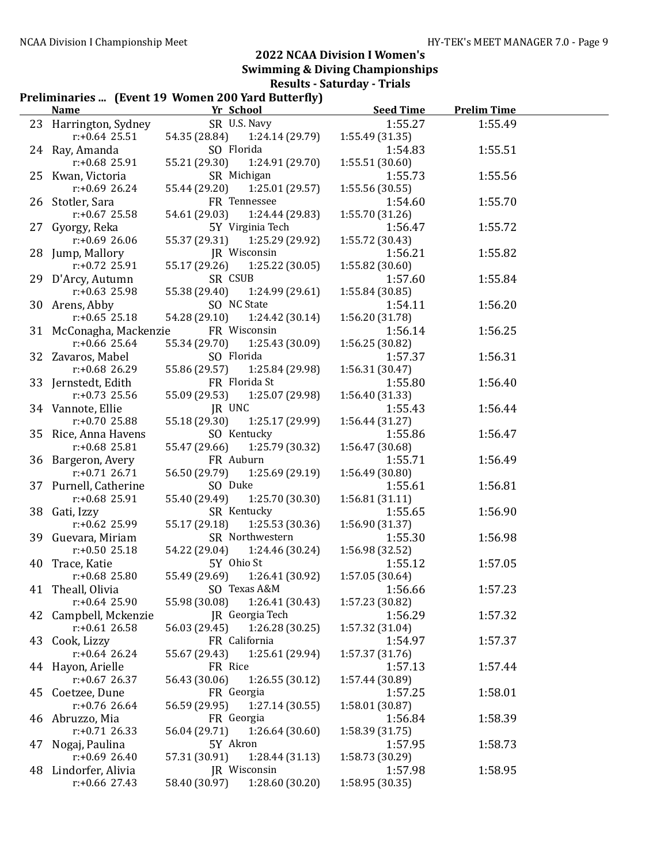#### Preliminaries ... (Fyent 19 Women 200 Yard Butterfly)

|    | <u>Name</u>             | $\mathbf{r}$ reminiaries  (Event 19) women 200 faru butterny f<br>Yr School | <b>Seed Time</b> | <b>Prelim Time</b> |  |
|----|-------------------------|-----------------------------------------------------------------------------|------------------|--------------------|--|
|    | 23 Harrington, Sydney   | SR U.S. Navy                                                                | 1:55.27          | 1:55.49            |  |
|    | $r: +0.64$ 25.51        | 54.35 (28.84)<br>1:24.14 (29.79)                                            | 1:55.49 (31.35)  |                    |  |
|    | 24 Ray, Amanda          | SO Florida                                                                  | 1:54.83          | 1:55.51            |  |
|    | $r: +0.68$ 25.91        | 55.21 (29.30)<br>1:24.91 (29.70)                                            | 1:55.51 (30.60)  |                    |  |
|    | 25 Kwan, Victoria       | SR Michigan                                                                 | 1:55.73          | 1:55.56            |  |
|    | $r: +0.69$ 26.24        | 55.44 (29.20)<br>1:25.01 (29.57)                                            | 1:55.56 (30.55)  |                    |  |
|    | 26 Stotler, Sara        | FR Tennessee                                                                | 1:54.60          | 1:55.70            |  |
|    | $r: +0.67$ 25.58        | 54.61 (29.03)<br>1:24.44 (29.83)                                            | 1:55.70 (31.26)  |                    |  |
|    | 27 Gyorgy, Reka         | 5Y Virginia Tech                                                            | 1:56.47          | 1:55.72            |  |
|    | $r: +0.6926.06$         | 55.37 (29.31)<br>1:25.29 (29.92)                                            | 1:55.72 (30.43)  |                    |  |
|    | 28 Jump, Mallory        | JR Wisconsin                                                                | 1:56.21          | 1:55.82            |  |
|    | $r: +0.72$ 25.91        | 55.17 (29.26)<br>1:25.22(30.05)                                             | 1:55.82 (30.60)  |                    |  |
|    | 29 D'Arcy, Autumn       | SR CSUB                                                                     | 1:57.60          | 1:55.84            |  |
|    | $r: +0.63$ 25.98        | 55.38 (29.40)<br>1:24.99 (29.61)                                            | 1:55.84 (30.85)  |                    |  |
|    | 30 Arens, Abby          | SO NC State                                                                 | 1:54.11          | 1:56.20            |  |
|    | $r: +0.65$ 25.18        | 54.28 (29.10)<br>1:24.42 (30.14)                                            | 1:56.20 (31.78)  |                    |  |
|    | 31 McConagha, Mackenzie | FR Wisconsin                                                                | 1:56.14          | 1:56.25            |  |
|    | $r: +0.66$ 25.64        | 55.34 (29.70)<br>1:25.43 (30.09)                                            | 1:56.25 (30.82)  |                    |  |
|    | 32 Zavaros, Mabel       | SO Florida                                                                  | 1:57.37          | 1:56.31            |  |
|    | $r$ :+0.68 26.29        | 55.86 (29.57)<br>1:25.84 (29.98)                                            | 1:56.31 (30.47)  |                    |  |
|    | 33 Jernstedt, Edith     | FR Florida St                                                               | 1:55.80          | 1:56.40            |  |
|    | $r: +0.73$ 25.56        | 55.09 (29.53)<br>1:25.07 (29.98)                                            | 1:56.40 (31.33)  |                    |  |
|    | 34 Vannote, Ellie       | JR UNC                                                                      | 1:55.43          | 1:56.44            |  |
|    | $r: +0.70$ 25.88        | 55.18 (29.30)<br>1:25.17 (29.99)                                            | 1:56.44(31.27)   |                    |  |
|    | 35 Rice, Anna Havens    | SO Kentucky                                                                 | 1:55.86          | 1:56.47            |  |
|    | $r: +0.68$ 25.81        | 55.47 (29.66)<br>1:25.79 (30.32)                                            | 1:56.47 (30.68)  |                    |  |
|    | 36 Bargeron, Avery      | FR Auburn                                                                   | 1:55.71          | 1:56.49            |  |
|    | $r: +0.71$ 26.71        | 56.50 (29.79)<br>1:25.69 (29.19)                                            | 1:56.49 (30.80)  |                    |  |
|    | 37 Purnell, Catherine   | SO Duke                                                                     | 1:55.61          | 1:56.81            |  |
|    | $r: +0.68$ 25.91        | 55.40 (29.49)<br>1:25.70 (30.30)                                            | 1:56.81(31.11)   |                    |  |
|    | 38 Gati, Izzy           | SR Kentucky                                                                 | 1:55.65          | 1:56.90            |  |
|    | $r: +0.62$ 25.99        | 55.17 (29.18)<br>1:25.53(30.36)                                             | 1:56.90 (31.37)  |                    |  |
|    | 39 Guevara, Miriam      | SR Northwestern                                                             | 1:55.30          | 1:56.98            |  |
|    | $r: +0.5025.18$         | 54.22 (29.04)<br>1:24.46 (30.24)                                            | 1:56.98 (32.52)  |                    |  |
|    | 40 Trace, Katie         | 5Y Ohio St                                                                  | 1:55.12          | 1:57.05            |  |
|    | $r: +0.68$ 25.80        | 55.49 (29.69) 1:26.41 (30.92)                                               | 1:57.05 (30.64)  |                    |  |
|    | 41 Theall, Olivia       | SO Texas A&M                                                                | 1:56.66          | 1:57.23            |  |
|    | $r: +0.64$ 25.90        | 55.98 (30.08)<br>1:26.41 (30.43)                                            | 1:57.23 (30.82)  |                    |  |
|    | 42 Campbell, Mckenzie   | JR Georgia Tech                                                             | 1:56.29          | 1:57.32            |  |
|    | $r: +0.61$ 26.58        | 56.03 (29.45)<br>1:26.28(30.25)                                             | 1:57.32 (31.04)  |                    |  |
|    | 43 Cook, Lizzy          | FR California                                                               | 1:54.97          | 1:57.37            |  |
|    | $r: +0.64$ 26.24        | 55.67 (29.43)<br>1:25.61 (29.94)                                            | 1:57.37 (31.76)  |                    |  |
|    | 44 Hayon, Arielle       | FR Rice                                                                     | 1:57.13          | 1:57.44            |  |
|    | $r: +0.67$ 26.37        | 56.43 (30.06)<br>1:26.55(30.12)                                             | 1:57.44 (30.89)  |                    |  |
|    | 45 Coetzee, Dune        | FR Georgia                                                                  | 1:57.25          | 1:58.01            |  |
|    | $r: +0.76$ 26.64        | 56.59 (29.95)<br>1:27.14 (30.55)                                            | 1:58.01 (30.87)  |                    |  |
|    | 46 Abruzzo, Mia         | FR Georgia                                                                  | 1:56.84          | 1:58.39            |  |
|    | $r: +0.71$ 26.33        | 56.04 (29.71)<br>1:26.64 (30.60)                                            | 1:58.39 (31.75)  |                    |  |
| 47 | Nogaj, Paulina          | 5Y Akron                                                                    | 1:57.95          | 1:58.73            |  |
|    | $r: +0.6926.40$         | 57.31 (30.91)<br>1:28.44 (31.13)                                            | 1:58.73 (30.29)  |                    |  |
|    | 48 Lindorfer, Alivia    | JR Wisconsin                                                                | 1:57.98          | 1:58.95            |  |
|    | $r$ :+0.66 27.43        | 58.40 (30.97)<br>1:28.60 (30.20)                                            | 1:58.95 (30.35)  |                    |  |
|    |                         |                                                                             |                  |                    |  |